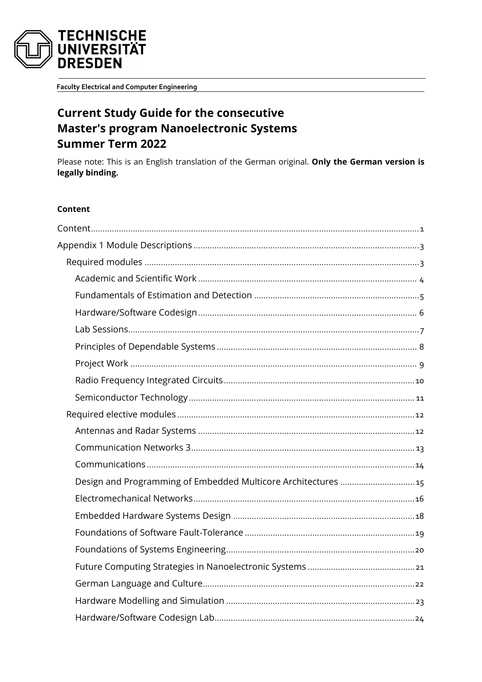

**Faculty Electrical and Computer Engineering** 

# **Current Study Guide for the consecutive Master's program Nanoelectronic Systems Summer Term 2022**

Please note: This is an English translation of the German original. Only the German version is legally binding.

#### <span id="page-0-0"></span>Content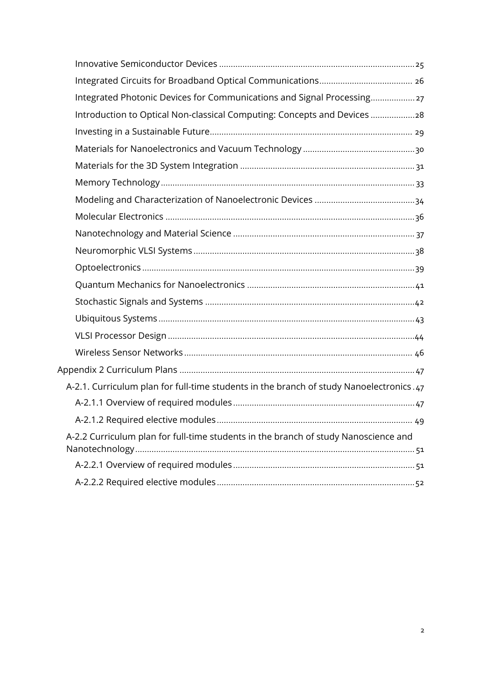| Integrated Photonic Devices for Communications and Signal Processing 27                 |  |
|-----------------------------------------------------------------------------------------|--|
| Introduction to Optical Non-classical Computing: Concepts and Devices 28                |  |
|                                                                                         |  |
|                                                                                         |  |
|                                                                                         |  |
|                                                                                         |  |
|                                                                                         |  |
|                                                                                         |  |
|                                                                                         |  |
|                                                                                         |  |
|                                                                                         |  |
|                                                                                         |  |
|                                                                                         |  |
|                                                                                         |  |
|                                                                                         |  |
|                                                                                         |  |
|                                                                                         |  |
| A-2.1. Curriculum plan for full-time students in the branch of study Nanoelectronics.47 |  |
|                                                                                         |  |
|                                                                                         |  |
| A-2.2 Curriculum plan for full-time students in the branch of study Nanoscience and     |  |
|                                                                                         |  |
|                                                                                         |  |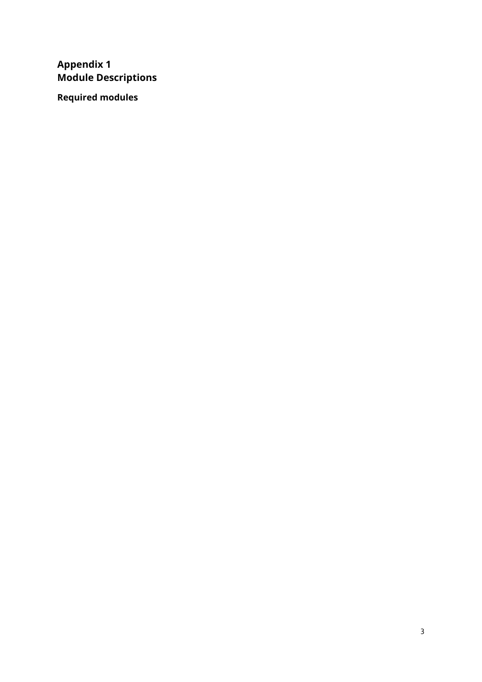## <span id="page-2-0"></span>**Appendix 1 Module Descriptions**

<span id="page-2-1"></span>**Required modules**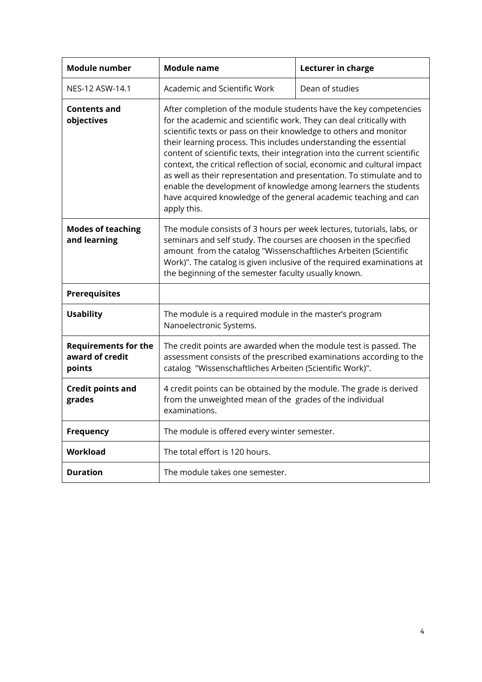<span id="page-3-1"></span><span id="page-3-0"></span>

| <b>Module number</b>                                     | <b>Module name</b>                                                                                                                                                                                                                                                                                                                                                                                                                                                                                                                                                                                                                                                          | Lecturer in charge |
|----------------------------------------------------------|-----------------------------------------------------------------------------------------------------------------------------------------------------------------------------------------------------------------------------------------------------------------------------------------------------------------------------------------------------------------------------------------------------------------------------------------------------------------------------------------------------------------------------------------------------------------------------------------------------------------------------------------------------------------------------|--------------------|
| NES-12 ASW-14.1                                          | Academic and Scientific Work                                                                                                                                                                                                                                                                                                                                                                                                                                                                                                                                                                                                                                                | Dean of studies    |
| Contents and<br>objectives                               | After completion of the module students have the key competencies<br>for the academic and scientific work. They can deal critically with<br>scientific texts or pass on their knowledge to others and monitor<br>their learning process. This includes understanding the essential<br>content of scientific texts, their integration into the current scientific<br>context, the critical reflection of social, economic and cultural impact<br>as well as their representation and presentation. To stimulate and to<br>enable the development of knowledge among learners the students<br>have acquired knowledge of the general academic teaching and can<br>apply this. |                    |
| <b>Modes of teaching</b><br>and learning                 | The module consists of 3 hours per week lectures, tutorials, labs, or<br>seminars and self study. The courses are choosen in the specified<br>amount from the catalog "Wissenschaftliches Arbeiten (Scientific<br>Work)". The catalog is given inclusive of the required examinations at<br>the beginning of the semester faculty usually known.                                                                                                                                                                                                                                                                                                                            |                    |
| <b>Prerequisites</b>                                     |                                                                                                                                                                                                                                                                                                                                                                                                                                                                                                                                                                                                                                                                             |                    |
| <b>Usability</b>                                         | The module is a required module in the master's program<br>Nanoelectronic Systems.                                                                                                                                                                                                                                                                                                                                                                                                                                                                                                                                                                                          |                    |
| <b>Requirements for the</b><br>award of credit<br>points | The credit points are awarded when the module test is passed. The<br>assessment consists of the prescribed examinations according to the<br>catalog "Wissenschaftliches Arbeiten (Scientific Work)".                                                                                                                                                                                                                                                                                                                                                                                                                                                                        |                    |
| <b>Credit points and</b><br>grades                       | 4 credit points can be obtained by the module. The grade is derived<br>from the unweighted mean of the grades of the individual<br>examinations.                                                                                                                                                                                                                                                                                                                                                                                                                                                                                                                            |                    |
| Frequency                                                | The module is offered every winter semester.                                                                                                                                                                                                                                                                                                                                                                                                                                                                                                                                                                                                                                |                    |
| <b>Workload</b>                                          | The total effort is 120 hours.                                                                                                                                                                                                                                                                                                                                                                                                                                                                                                                                                                                                                                              |                    |
| <b>Duration</b>                                          | The module takes one semester.                                                                                                                                                                                                                                                                                                                                                                                                                                                                                                                                                                                                                                              |                    |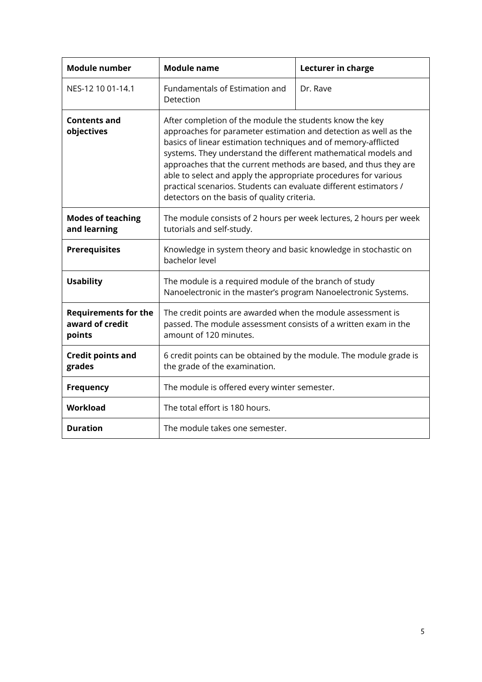<span id="page-4-1"></span><span id="page-4-0"></span>

| <b>Module number</b>                                     | <b>Module name</b>                                                                                                                                       | Lecturer in charge                                                                                                                                                                                                                                                                                                                                                                                                                                                                                                          |  |
|----------------------------------------------------------|----------------------------------------------------------------------------------------------------------------------------------------------------------|-----------------------------------------------------------------------------------------------------------------------------------------------------------------------------------------------------------------------------------------------------------------------------------------------------------------------------------------------------------------------------------------------------------------------------------------------------------------------------------------------------------------------------|--|
| NES-12 10 01-14.1                                        | Fundamentals of Estimation and<br>Detection                                                                                                              | Dr. Rave                                                                                                                                                                                                                                                                                                                                                                                                                                                                                                                    |  |
| <b>Contents and</b><br>objectives                        |                                                                                                                                                          | After completion of the module the students know the key<br>approaches for parameter estimation and detection as well as the<br>basics of linear estimation techniques and of memory-afflicted<br>systems. They understand the different mathematical models and<br>approaches that the current methods are based, and thus they are<br>able to select and apply the appropriate procedures for various<br>practical scenarios. Students can evaluate different estimators /<br>detectors on the basis of quality criteria. |  |
| <b>Modes of teaching</b><br>and learning                 | The module consists of 2 hours per week lectures, 2 hours per week<br>tutorials and self-study.                                                          |                                                                                                                                                                                                                                                                                                                                                                                                                                                                                                                             |  |
| <b>Prerequisites</b>                                     | Knowledge in system theory and basic knowledge in stochastic on<br>bachelor level                                                                        |                                                                                                                                                                                                                                                                                                                                                                                                                                                                                                                             |  |
| <b>Usability</b>                                         | The module is a required module of the branch of study<br>Nanoelectronic in the master's program Nanoelectronic Systems.                                 |                                                                                                                                                                                                                                                                                                                                                                                                                                                                                                                             |  |
| <b>Requirements for the</b><br>award of credit<br>points | The credit points are awarded when the module assessment is<br>passed. The module assessment consists of a written exam in the<br>amount of 120 minutes. |                                                                                                                                                                                                                                                                                                                                                                                                                                                                                                                             |  |
| <b>Credit points and</b><br>grades                       | 6 credit points can be obtained by the module. The module grade is<br>the grade of the examination.                                                      |                                                                                                                                                                                                                                                                                                                                                                                                                                                                                                                             |  |
| <b>Frequency</b>                                         | The module is offered every winter semester.                                                                                                             |                                                                                                                                                                                                                                                                                                                                                                                                                                                                                                                             |  |
| Workload                                                 | The total effort is 180 hours.                                                                                                                           |                                                                                                                                                                                                                                                                                                                                                                                                                                                                                                                             |  |
| <b>Duration</b>                                          | The module takes one semester.                                                                                                                           |                                                                                                                                                                                                                                                                                                                                                                                                                                                                                                                             |  |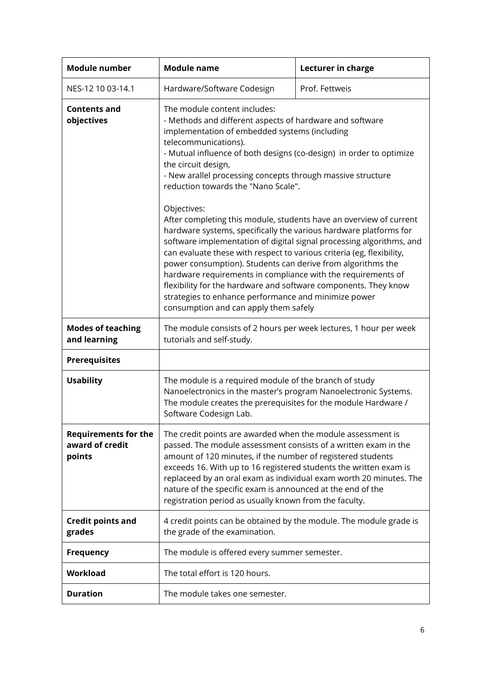<span id="page-5-1"></span><span id="page-5-0"></span>

| <b>Module number</b><br><b>Module name</b>               |                                                                                                                                                                                                                                                                                                                                                                                                                                                                                                                                                                                                            | Lecturer in charge |
|----------------------------------------------------------|------------------------------------------------------------------------------------------------------------------------------------------------------------------------------------------------------------------------------------------------------------------------------------------------------------------------------------------------------------------------------------------------------------------------------------------------------------------------------------------------------------------------------------------------------------------------------------------------------------|--------------------|
| NES-12 10 03-14.1                                        | Hardware/Software Codesign                                                                                                                                                                                                                                                                                                                                                                                                                                                                                                                                                                                 | Prof. Fettweis     |
| <b>Contents and</b><br>objectives                        | The module content includes:<br>- Methods and different aspects of hardware and software<br>implementation of embedded systems (including<br>telecommunications).<br>- Mutual influence of both designs (co-design) in order to optimize<br>the circuit design,<br>- New arallel processing concepts through massive structure<br>reduction towards the "Nano Scale".                                                                                                                                                                                                                                      |                    |
|                                                          | Objectives:<br>After completing this module, students have an overview of current<br>hardware systems, specifically the various hardware platforms for<br>software implementation of digital signal processing algorithms, and<br>can evaluate these with respect to various criteria (eg, flexibility,<br>power consumption). Students can derive from algorithms the<br>hardware requirements in compliance with the requirements of<br>flexibility for the hardware and software components. They know<br>strategies to enhance performance and minimize power<br>consumption and can apply them safely |                    |
| <b>Modes of teaching</b><br>and learning                 | The module consists of 2 hours per week lectures, 1 hour per week<br>tutorials and self-study.                                                                                                                                                                                                                                                                                                                                                                                                                                                                                                             |                    |
| <b>Prerequisites</b>                                     |                                                                                                                                                                                                                                                                                                                                                                                                                                                                                                                                                                                                            |                    |
| <b>Usability</b>                                         | The module is a required module of the branch of study<br>Nanoelectronics in the master's program Nanoelectronic Systems.<br>The module creates the prerequisites for the module Hardware /<br>Software Codesign Lab.                                                                                                                                                                                                                                                                                                                                                                                      |                    |
| <b>Requirements for the</b><br>award of credit<br>points | The credit points are awarded when the module assessment is<br>passed. The module assessment consists of a written exam in the<br>amount of 120 minutes, if the number of registered students<br>exceeds 16. With up to 16 registered students the written exam is<br>replaceed by an oral exam as individual exam worth 20 minutes. The<br>nature of the specific exam is announced at the end of the<br>registration period as usually known from the faculty.                                                                                                                                           |                    |
| <b>Credit points and</b><br>grades                       | 4 credit points can be obtained by the module. The module grade is<br>the grade of the examination.                                                                                                                                                                                                                                                                                                                                                                                                                                                                                                        |                    |
| <b>Frequency</b>                                         | The module is offered every summer semester.                                                                                                                                                                                                                                                                                                                                                                                                                                                                                                                                                               |                    |
| Workload                                                 | The total effort is 120 hours.                                                                                                                                                                                                                                                                                                                                                                                                                                                                                                                                                                             |                    |
| <b>Duration</b>                                          | The module takes one semester.                                                                                                                                                                                                                                                                                                                                                                                                                                                                                                                                                                             |                    |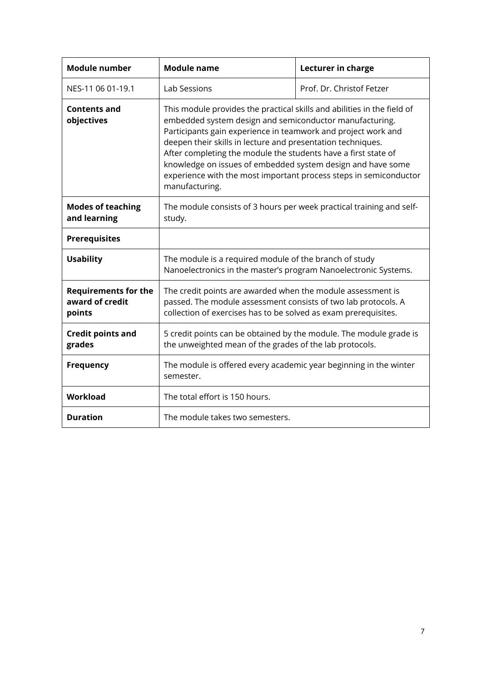<span id="page-6-1"></span><span id="page-6-0"></span>

| <b>Module number</b>                                                                                                                                                                                                                                                                                                                                                                                                                                                                                                     | <b>Module name</b>                                                                                                                                                                               | Lecturer in charge        |
|--------------------------------------------------------------------------------------------------------------------------------------------------------------------------------------------------------------------------------------------------------------------------------------------------------------------------------------------------------------------------------------------------------------------------------------------------------------------------------------------------------------------------|--------------------------------------------------------------------------------------------------------------------------------------------------------------------------------------------------|---------------------------|
| NES-11 06 01-19.1                                                                                                                                                                                                                                                                                                                                                                                                                                                                                                        | Lab Sessions                                                                                                                                                                                     | Prof. Dr. Christof Fetzer |
| This module provides the practical skills and abilities in the field of<br>Contents and<br>embedded system design and semiconductor manufacturing.<br>objectives<br>Participants gain experience in teamwork and project work and<br>deepen their skills in lecture and presentation techniques.<br>After completing the module the students have a first state of<br>knowledge on issues of embedded system design and have some<br>experience with the most important process steps in semiconductor<br>manufacturing. |                                                                                                                                                                                                  |                           |
| <b>Modes of teaching</b><br>and learning                                                                                                                                                                                                                                                                                                                                                                                                                                                                                 | The module consists of 3 hours per week practical training and self-<br>study.                                                                                                                   |                           |
| <b>Prerequisites</b>                                                                                                                                                                                                                                                                                                                                                                                                                                                                                                     |                                                                                                                                                                                                  |                           |
| <b>Usability</b>                                                                                                                                                                                                                                                                                                                                                                                                                                                                                                         | The module is a required module of the branch of study<br>Nanoelectronics in the master's program Nanoelectronic Systems.                                                                        |                           |
| <b>Requirements for the</b><br>award of credit<br>points                                                                                                                                                                                                                                                                                                                                                                                                                                                                 | The credit points are awarded when the module assessment is<br>passed. The module assessment consists of two lab protocols. A<br>collection of exercises has to be solved as exam prerequisites. |                           |
| <b>Credit points and</b><br>grades                                                                                                                                                                                                                                                                                                                                                                                                                                                                                       | 5 credit points can be obtained by the module. The module grade is<br>the unweighted mean of the grades of the lab protocols.                                                                    |                           |
| <b>Frequency</b>                                                                                                                                                                                                                                                                                                                                                                                                                                                                                                         | The module is offered every academic year beginning in the winter<br>semester.                                                                                                                   |                           |
| Workload                                                                                                                                                                                                                                                                                                                                                                                                                                                                                                                 | The total effort is 150 hours.                                                                                                                                                                   |                           |
| <b>Duration</b>                                                                                                                                                                                                                                                                                                                                                                                                                                                                                                          | The module takes two semesters.                                                                                                                                                                  |                           |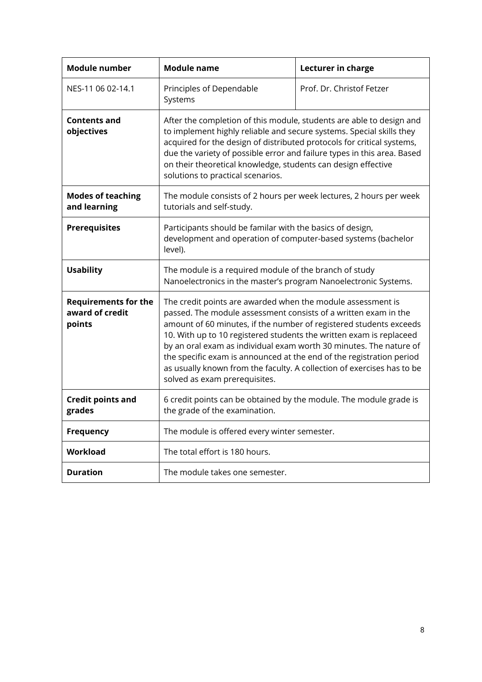<span id="page-7-1"></span><span id="page-7-0"></span>

| <b>Module number</b>                                     | <b>Module name</b>                                                                                                                                                                                                                                                                                                                                                                                                                                                                                                                   | Lecturer in charge        |  |
|----------------------------------------------------------|--------------------------------------------------------------------------------------------------------------------------------------------------------------------------------------------------------------------------------------------------------------------------------------------------------------------------------------------------------------------------------------------------------------------------------------------------------------------------------------------------------------------------------------|---------------------------|--|
| NES-11 06 02-14.1                                        | Principles of Dependable<br>Systems                                                                                                                                                                                                                                                                                                                                                                                                                                                                                                  | Prof. Dr. Christof Fetzer |  |
| <b>Contents and</b><br>objectives                        | After the completion of this module, students are able to design and<br>to implement highly reliable and secure systems. Special skills they<br>acquired for the design of distributed protocols for critical systems,<br>due the variety of possible error and failure types in this area. Based<br>on their theoretical knowledge, students can design effective<br>solutions to practical scenarios.                                                                                                                              |                           |  |
| <b>Modes of teaching</b><br>and learning                 | The module consists of 2 hours per week lectures, 2 hours per week<br>tutorials and self-study.                                                                                                                                                                                                                                                                                                                                                                                                                                      |                           |  |
| <b>Prerequisites</b>                                     | Participants should be familar with the basics of design,<br>development and operation of computer-based systems (bachelor<br>level).                                                                                                                                                                                                                                                                                                                                                                                                |                           |  |
| <b>Usability</b>                                         | The module is a required module of the branch of study<br>Nanoelectronics in the master's program Nanoelectronic Systems.                                                                                                                                                                                                                                                                                                                                                                                                            |                           |  |
| <b>Requirements for the</b><br>award of credit<br>points | The credit points are awarded when the module assessment is<br>passed. The module assessment consists of a written exam in the<br>amount of 60 minutes, if the number of registered students exceeds<br>10. With up to 10 registered students the written exam is replaceed<br>by an oral exam as individual exam worth 30 minutes. The nature of<br>the specific exam is announced at the end of the registration period<br>as usually known from the faculty. A collection of exercises has to be<br>solved as exam prerequisites. |                           |  |
| <b>Credit points and</b><br>grades                       | 6 credit points can be obtained by the module. The module grade is<br>the grade of the examination.                                                                                                                                                                                                                                                                                                                                                                                                                                  |                           |  |
| <b>Frequency</b>                                         | The module is offered every winter semester.                                                                                                                                                                                                                                                                                                                                                                                                                                                                                         |                           |  |
| Workload                                                 | The total effort is 180 hours.                                                                                                                                                                                                                                                                                                                                                                                                                                                                                                       |                           |  |
| <b>Duration</b>                                          | The module takes one semester.                                                                                                                                                                                                                                                                                                                                                                                                                                                                                                       |                           |  |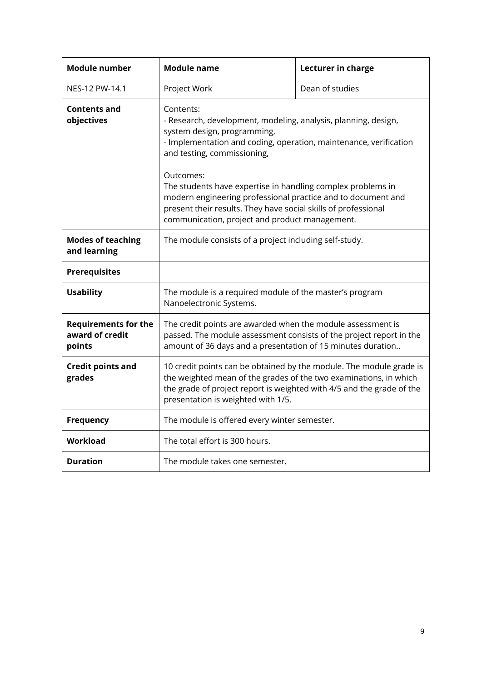<span id="page-8-1"></span><span id="page-8-0"></span>

| <b>Module number</b>                                     | Module name                                                                                                                                                                                                                                                  | Lecturer in charge |
|----------------------------------------------------------|--------------------------------------------------------------------------------------------------------------------------------------------------------------------------------------------------------------------------------------------------------------|--------------------|
| NES-12 PW-14.1                                           | Project Work                                                                                                                                                                                                                                                 | Dean of studies    |
| Contents and<br>objectives                               | Contents:<br>- Research, development, modeling, analysis, planning, design,<br>system design, programming,<br>- Implementation and coding, operation, maintenance, verification<br>and testing, commissioning,                                               |                    |
|                                                          | Outcomes:<br>The students have expertise in handling complex problems in<br>modern engineering professional practice and to document and<br>present their results. They have social skills of professional<br>communication, project and product management. |                    |
| <b>Modes of teaching</b><br>and learning                 | The module consists of a project including self-study.                                                                                                                                                                                                       |                    |
| <b>Prerequisites</b>                                     |                                                                                                                                                                                                                                                              |                    |
| <b>Usability</b>                                         | The module is a required module of the master's program<br>Nanoelectronic Systems.                                                                                                                                                                           |                    |
| <b>Requirements for the</b><br>award of credit<br>points | The credit points are awarded when the module assessment is<br>passed. The module assessment consists of the project report in the<br>amount of 36 days and a presentation of 15 minutes duration                                                            |                    |
| <b>Credit points and</b><br>grades                       | 10 credit points can be obtained by the module. The module grade is<br>the weighted mean of the grades of the two examinations, in which<br>the grade of project report is weighted with 4/5 and the grade of the<br>presentation is weighted with 1/5.      |                    |
| Frequency                                                | The module is offered every winter semester.                                                                                                                                                                                                                 |                    |
| <b>Workload</b>                                          | The total effort is 300 hours.                                                                                                                                                                                                                               |                    |
| <b>Duration</b>                                          | The module takes one semester.                                                                                                                                                                                                                               |                    |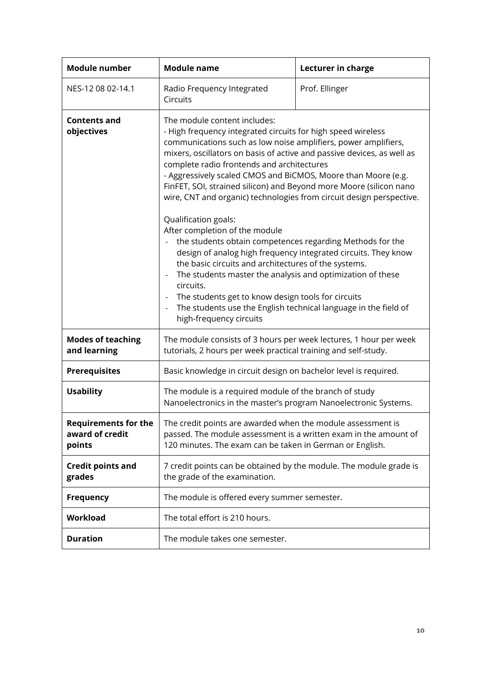<span id="page-9-1"></span><span id="page-9-0"></span>

| <b>Module number</b>                                     | <b>Module name</b>                                                                                                                                                                                                                                                                                                                                                                                                                                                                                                                                                                                                                                                                                                                                                                                                                                                                                                                                                                    | Lecturer in charge |
|----------------------------------------------------------|---------------------------------------------------------------------------------------------------------------------------------------------------------------------------------------------------------------------------------------------------------------------------------------------------------------------------------------------------------------------------------------------------------------------------------------------------------------------------------------------------------------------------------------------------------------------------------------------------------------------------------------------------------------------------------------------------------------------------------------------------------------------------------------------------------------------------------------------------------------------------------------------------------------------------------------------------------------------------------------|--------------------|
| NES-12 08 02-14.1                                        | Radio Frequency Integrated<br>Circuits                                                                                                                                                                                                                                                                                                                                                                                                                                                                                                                                                                                                                                                                                                                                                                                                                                                                                                                                                | Prof. Ellinger     |
| <b>Contents and</b><br>objectives                        | The module content includes:<br>- High frequency integrated circuits for high speed wireless<br>communications such as low noise amplifiers, power amplifiers,<br>mixers, oscillators on basis of active and passive devices, as well as<br>complete radio frontends and architectures<br>- Aggressively scaled CMOS and BiCMOS, Moore than Moore (e.g.<br>FinFET, SOI, strained silicon) and Beyond more Moore (silicon nano<br>wire, CNT and organic) technologies from circuit design perspective.<br>Qualification goals:<br>After completion of the module<br>the students obtain competences regarding Methods for the<br>design of analog high frequency integrated circuits. They know<br>the basic circuits and architectures of the systems.<br>The students master the analysis and optimization of these<br>circuits.<br>The students get to know design tools for circuits<br>The students use the English technical language in the field of<br>high-frequency circuits |                    |
| <b>Modes of teaching</b><br>and learning                 | The module consists of 3 hours per week lectures, 1 hour per week<br>tutorials, 2 hours per week practical training and self-study.                                                                                                                                                                                                                                                                                                                                                                                                                                                                                                                                                                                                                                                                                                                                                                                                                                                   |                    |
| <b>Prerequisites</b>                                     | Basic knowledge in circuit design on bachelor level is required.                                                                                                                                                                                                                                                                                                                                                                                                                                                                                                                                                                                                                                                                                                                                                                                                                                                                                                                      |                    |
| <b>Usability</b>                                         | The module is a required module of the branch of study<br>Nanoelectronics in the master's program Nanoelectronic Systems.                                                                                                                                                                                                                                                                                                                                                                                                                                                                                                                                                                                                                                                                                                                                                                                                                                                             |                    |
| <b>Requirements for the</b><br>award of credit<br>points | The credit points are awarded when the module assessment is<br>passed. The module assessment is a written exam in the amount of<br>120 minutes. The exam can be taken in German or English.                                                                                                                                                                                                                                                                                                                                                                                                                                                                                                                                                                                                                                                                                                                                                                                           |                    |
| <b>Credit points and</b><br>grades                       | 7 credit points can be obtained by the module. The module grade is<br>the grade of the examination.                                                                                                                                                                                                                                                                                                                                                                                                                                                                                                                                                                                                                                                                                                                                                                                                                                                                                   |                    |
| <b>Frequency</b>                                         | The module is offered every summer semester.                                                                                                                                                                                                                                                                                                                                                                                                                                                                                                                                                                                                                                                                                                                                                                                                                                                                                                                                          |                    |
| Workload                                                 | The total effort is 210 hours.                                                                                                                                                                                                                                                                                                                                                                                                                                                                                                                                                                                                                                                                                                                                                                                                                                                                                                                                                        |                    |
| <b>Duration</b>                                          | The module takes one semester.                                                                                                                                                                                                                                                                                                                                                                                                                                                                                                                                                                                                                                                                                                                                                                                                                                                                                                                                                        |                    |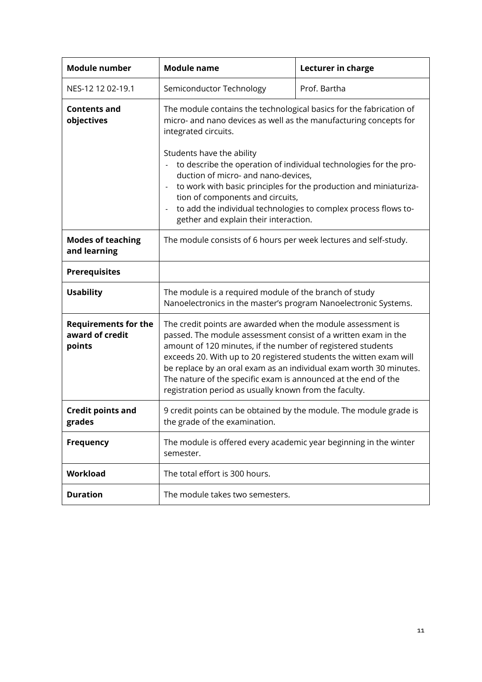<span id="page-10-1"></span><span id="page-10-0"></span>

| <b>Module number</b>                                     | <b>Module name</b>                                                                                                                                                                                                                                                                                                                                                                                                                                                                                                             | Lecturer in charge |
|----------------------------------------------------------|--------------------------------------------------------------------------------------------------------------------------------------------------------------------------------------------------------------------------------------------------------------------------------------------------------------------------------------------------------------------------------------------------------------------------------------------------------------------------------------------------------------------------------|--------------------|
| NES-12 12 02-19.1                                        | Semiconductor Technology                                                                                                                                                                                                                                                                                                                                                                                                                                                                                                       | Prof. Bartha       |
| <b>Contents and</b><br>objectives                        | The module contains the technological basics for the fabrication of<br>micro- and nano devices as well as the manufacturing concepts for<br>integrated circuits.<br>Students have the ability<br>to describe the operation of individual technologies for the pro-<br>duction of micro- and nano-devices,<br>to work with basic principles for the production and miniaturiza-<br>tion of components and circuits,<br>to add the individual technologies to complex process flows to-<br>gether and explain their interaction. |                    |
| <b>Modes of teaching</b><br>and learning                 | The module consists of 6 hours per week lectures and self-study.                                                                                                                                                                                                                                                                                                                                                                                                                                                               |                    |
| <b>Prerequisites</b>                                     |                                                                                                                                                                                                                                                                                                                                                                                                                                                                                                                                |                    |
| <b>Usability</b>                                         | The module is a required module of the branch of study<br>Nanoelectronics in the master's program Nanoelectronic Systems.                                                                                                                                                                                                                                                                                                                                                                                                      |                    |
| <b>Requirements for the</b><br>award of credit<br>points | The credit points are awarded when the module assessment is<br>passed. The module assessment consist of a written exam in the<br>amount of 120 minutes, if the number of registered students<br>exceeds 20. With up to 20 registered students the witten exam will<br>be replace by an oral exam as an individual exam worth 30 minutes.<br>The nature of the specific exam is announced at the end of the<br>registration period as usually known from the faculty.                                                           |                    |
| <b>Credit points and</b><br>grades                       | 9 credit points can be obtained by the module. The module grade is<br>the grade of the examination.                                                                                                                                                                                                                                                                                                                                                                                                                            |                    |
| <b>Frequency</b>                                         | The module is offered every academic year beginning in the winter<br>semester.                                                                                                                                                                                                                                                                                                                                                                                                                                                 |                    |
| <b>Workload</b>                                          | The total effort is 300 hours.                                                                                                                                                                                                                                                                                                                                                                                                                                                                                                 |                    |
| <b>Duration</b>                                          | The module takes two semesters.                                                                                                                                                                                                                                                                                                                                                                                                                                                                                                |                    |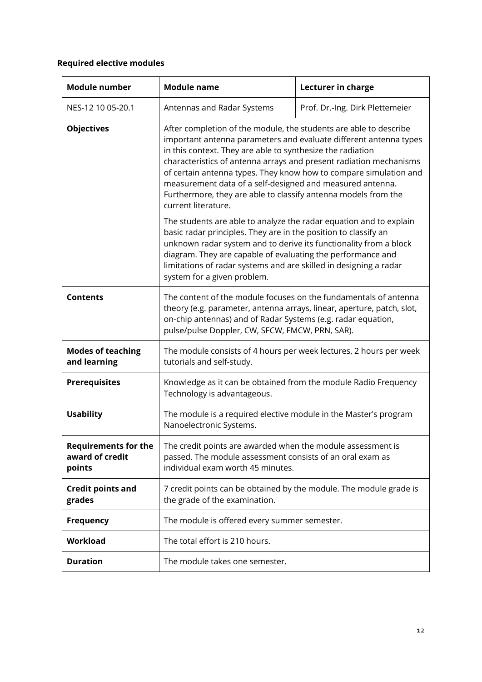### <span id="page-11-2"></span><span id="page-11-0"></span>**Required elective modules**

<span id="page-11-1"></span>

| <b>Module number</b>                                     | <b>Module name</b>                                                                                                                                                                                                                                                                                                                                                                                                                                                                                    | Lecturer in charge              |
|----------------------------------------------------------|-------------------------------------------------------------------------------------------------------------------------------------------------------------------------------------------------------------------------------------------------------------------------------------------------------------------------------------------------------------------------------------------------------------------------------------------------------------------------------------------------------|---------------------------------|
| NES-12 10 05-20.1                                        | Antennas and Radar Systems                                                                                                                                                                                                                                                                                                                                                                                                                                                                            | Prof. Dr.-Ing. Dirk Plettemeier |
| <b>Objectives</b>                                        | After completion of the module, the students are able to describe<br>important antenna parameters and evaluate different antenna types<br>in this context. They are able to synthesize the radiation<br>characteristics of antenna arrays and present radiation mechanisms<br>of certain antenna types. They know how to compare simulation and<br>measurement data of a self-designed and measured antenna.<br>Furthermore, they are able to classify antenna models from the<br>current literature. |                                 |
|                                                          | The students are able to analyze the radar equation and to explain<br>basic radar principles. They are in the position to classify an<br>unknown radar system and to derive its functionality from a block<br>diagram. They are capable of evaluating the performance and<br>limitations of radar systems and are skilled in designing a radar<br>system for a given problem.                                                                                                                         |                                 |
| <b>Contents</b>                                          | The content of the module focuses on the fundamentals of antenna<br>theory (e.g. parameter, antenna arrays, linear, aperture, patch, slot,<br>on-chip antennas) and of Radar Systems (e.g. radar equation,<br>pulse/pulse Doppler, CW, SFCW, FMCW, PRN, SAR).                                                                                                                                                                                                                                         |                                 |
| <b>Modes of teaching</b><br>and learning                 | The module consists of 4 hours per week lectures, 2 hours per week<br>tutorials and self-study.                                                                                                                                                                                                                                                                                                                                                                                                       |                                 |
| <b>Prerequisites</b>                                     | Knowledge as it can be obtained from the module Radio Frequency<br>Technology is advantageous.                                                                                                                                                                                                                                                                                                                                                                                                        |                                 |
| <b>Usability</b>                                         | The module is a required elective module in the Master's program<br>Nanoelectronic Systems.                                                                                                                                                                                                                                                                                                                                                                                                           |                                 |
| <b>Requirements for the</b><br>award of credit<br>points | The credit points are awarded when the module assessment is<br>passed. The module assessment consists of an oral exam as<br>individual exam worth 45 minutes.                                                                                                                                                                                                                                                                                                                                         |                                 |
| <b>Credit points and</b><br>grades                       | 7 credit points can be obtained by the module. The module grade is<br>the grade of the examination.                                                                                                                                                                                                                                                                                                                                                                                                   |                                 |
| <b>Frequency</b>                                         | The module is offered every summer semester.                                                                                                                                                                                                                                                                                                                                                                                                                                                          |                                 |
| Workload                                                 | The total effort is 210 hours.                                                                                                                                                                                                                                                                                                                                                                                                                                                                        |                                 |
| <b>Duration</b>                                          | The module takes one semester.                                                                                                                                                                                                                                                                                                                                                                                                                                                                        |                                 |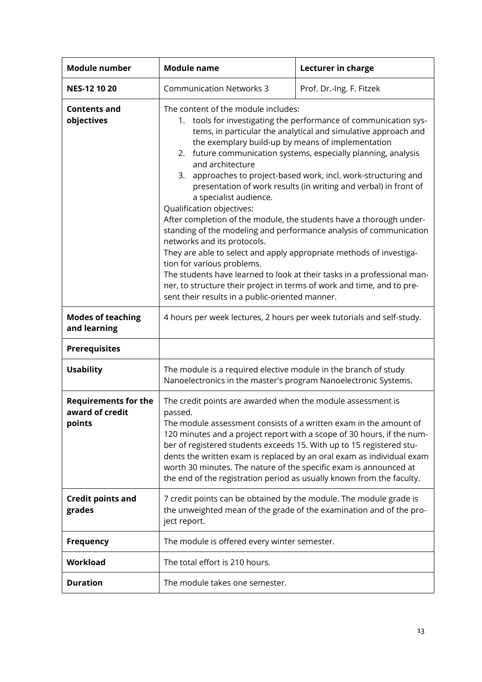<span id="page-12-1"></span><span id="page-12-0"></span>

| <b>Module number</b>                                     | <b>Module name</b>                                                                                                                                                                                                                                                                                                                                                                                                                                                                                                                                                                                                                                                                                                                                                                                                                                                                                                                                                                                                | Lecturer in charge       |
|----------------------------------------------------------|-------------------------------------------------------------------------------------------------------------------------------------------------------------------------------------------------------------------------------------------------------------------------------------------------------------------------------------------------------------------------------------------------------------------------------------------------------------------------------------------------------------------------------------------------------------------------------------------------------------------------------------------------------------------------------------------------------------------------------------------------------------------------------------------------------------------------------------------------------------------------------------------------------------------------------------------------------------------------------------------------------------------|--------------------------|
| <b>NES-12 10 20</b>                                      | <b>Communication Networks 3</b>                                                                                                                                                                                                                                                                                                                                                                                                                                                                                                                                                                                                                                                                                                                                                                                                                                                                                                                                                                                   | Prof. Dr.-Ing. F. Fitzek |
| <b>Contents and</b><br>objectives                        | The content of the module includes:<br>1. tools for investigating the performance of communication sys-<br>tems, in particular the analytical and simulative approach and<br>the exemplary build-up by means of implementation<br>future communication systems, especially planning, analysis<br>2.<br>and architecture<br>approaches to project-based work, incl. work-structuring and<br>3.<br>presentation of work results (in writing and verbal) in front of<br>a specialist audience.<br>Qualification objectives:<br>After completion of the module, the students have a thorough under-<br>standing of the modeling and performance analysis of communication<br>networks and its protocols.<br>They are able to select and apply appropriate methods of investiga-<br>tion for various problems.<br>The students have learned to look at their tasks in a professional man-<br>ner, to structure their project in terms of work and time, and to pre-<br>sent their results in a public-oriented manner. |                          |
| <b>Modes of teaching</b><br>and learning                 | 4 hours per week lectures, 2 hours per week tutorials and self-study.                                                                                                                                                                                                                                                                                                                                                                                                                                                                                                                                                                                                                                                                                                                                                                                                                                                                                                                                             |                          |
| <b>Prerequisites</b>                                     |                                                                                                                                                                                                                                                                                                                                                                                                                                                                                                                                                                                                                                                                                                                                                                                                                                                                                                                                                                                                                   |                          |
| <b>Usability</b>                                         | The module is a required elective module in the branch of study<br>Nanoelectronics in the master's program Nanoelectronic Systems.                                                                                                                                                                                                                                                                                                                                                                                                                                                                                                                                                                                                                                                                                                                                                                                                                                                                                |                          |
| <b>Requirements for the</b><br>award of credit<br>points | The credit points are awarded when the module assessment is<br>passed.<br>The module assessment consists of a written exam in the amount of<br>120 minutes and a project report with a scope of 30 hours, if the num-<br>ber of registered students exceeds 15. With up to 15 registered stu-<br>dents the written exam is replaced by an oral exam as individual exam<br>worth 30 minutes. The nature of the specific exam is announced at<br>the end of the registration period as usually known from the faculty.                                                                                                                                                                                                                                                                                                                                                                                                                                                                                              |                          |
| <b>Credit points and</b><br>grades                       | 7 credit points can be obtained by the module. The module grade is<br>the unweighted mean of the grade of the examination and of the pro-<br>ject report.                                                                                                                                                                                                                                                                                                                                                                                                                                                                                                                                                                                                                                                                                                                                                                                                                                                         |                          |
| <b>Frequency</b>                                         | The module is offered every winter semester.                                                                                                                                                                                                                                                                                                                                                                                                                                                                                                                                                                                                                                                                                                                                                                                                                                                                                                                                                                      |                          |
| Workload                                                 | The total effort is 210 hours.                                                                                                                                                                                                                                                                                                                                                                                                                                                                                                                                                                                                                                                                                                                                                                                                                                                                                                                                                                                    |                          |
| <b>Duration</b>                                          | The module takes one semester.                                                                                                                                                                                                                                                                                                                                                                                                                                                                                                                                                                                                                                                                                                                                                                                                                                                                                                                                                                                    |                          |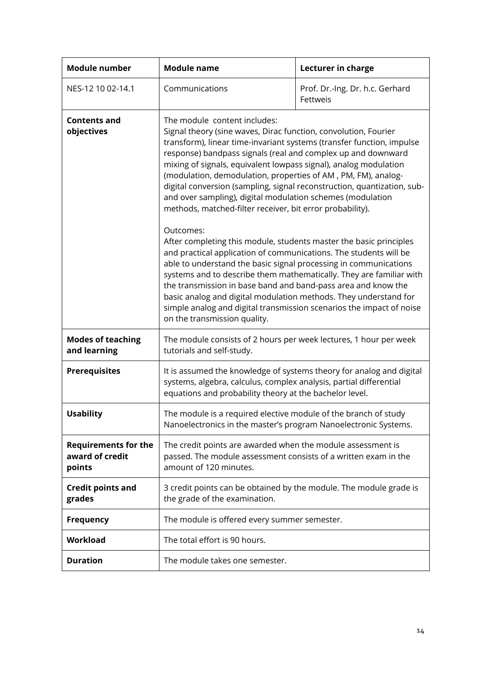<span id="page-13-1"></span><span id="page-13-0"></span>

| <b>Module number</b>                                     | <b>Module name</b>                                                                                                                                                                                                                                                                                                                                                                                                                                                                                                                                                                               | Lecturer in charge                          |
|----------------------------------------------------------|--------------------------------------------------------------------------------------------------------------------------------------------------------------------------------------------------------------------------------------------------------------------------------------------------------------------------------------------------------------------------------------------------------------------------------------------------------------------------------------------------------------------------------------------------------------------------------------------------|---------------------------------------------|
| NES-12 10 02-14.1                                        | Communications                                                                                                                                                                                                                                                                                                                                                                                                                                                                                                                                                                                   | Prof. Dr.-Ing. Dr. h.c. Gerhard<br>Fettweis |
| <b>Contents and</b><br>objectives                        | The module content includes:<br>Signal theory (sine waves, Dirac function, convolution, Fourier<br>transform), linear time-invariant systems (transfer function, impulse<br>response) bandpass signals (real and complex up and downward<br>mixing of signals, equivalent lowpass signal), analog modulation<br>(modulation, demodulation, properties of AM, PM, FM), analog-<br>digital conversion (sampling, signal reconstruction, quantization, sub-<br>and over sampling), digital modulation schemes (modulation<br>methods, matched-filter receiver, bit error probability).<br>Outcomes: |                                             |
|                                                          | After completing this module, students master the basic principles<br>and practical application of communications. The students will be<br>able to understand the basic signal processing in communications<br>systems and to describe them mathematically. They are familiar with<br>the transmission in base band and band-pass area and know the<br>basic analog and digital modulation methods. They understand for<br>simple analog and digital transmission scenarios the impact of noise<br>on the transmission quality.                                                                  |                                             |
| <b>Modes of teaching</b><br>and learning                 | The module consists of 2 hours per week lectures, 1 hour per week<br>tutorials and self-study.                                                                                                                                                                                                                                                                                                                                                                                                                                                                                                   |                                             |
| <b>Prerequisites</b>                                     | It is assumed the knowledge of systems theory for analog and digital<br>systems, algebra, calculus, complex analysis, partial differential<br>equations and probability theory at the bachelor level.                                                                                                                                                                                                                                                                                                                                                                                            |                                             |
| <b>Usability</b>                                         | The module is a required elective module of the branch of study<br>Nanoelectronics in the master's program Nanoelectronic Systems.                                                                                                                                                                                                                                                                                                                                                                                                                                                               |                                             |
| <b>Requirements for the</b><br>award of credit<br>points | The credit points are awarded when the module assessment is<br>passed. The module assessment consists of a written exam in the<br>amount of 120 minutes.                                                                                                                                                                                                                                                                                                                                                                                                                                         |                                             |
| <b>Credit points and</b><br>grades                       | 3 credit points can be obtained by the module. The module grade is<br>the grade of the examination.                                                                                                                                                                                                                                                                                                                                                                                                                                                                                              |                                             |
| <b>Frequency</b>                                         | The module is offered every summer semester.                                                                                                                                                                                                                                                                                                                                                                                                                                                                                                                                                     |                                             |
| Workload                                                 | The total effort is 90 hours.                                                                                                                                                                                                                                                                                                                                                                                                                                                                                                                                                                    |                                             |
| <b>Duration</b>                                          | The module takes one semester.                                                                                                                                                                                                                                                                                                                                                                                                                                                                                                                                                                   |                                             |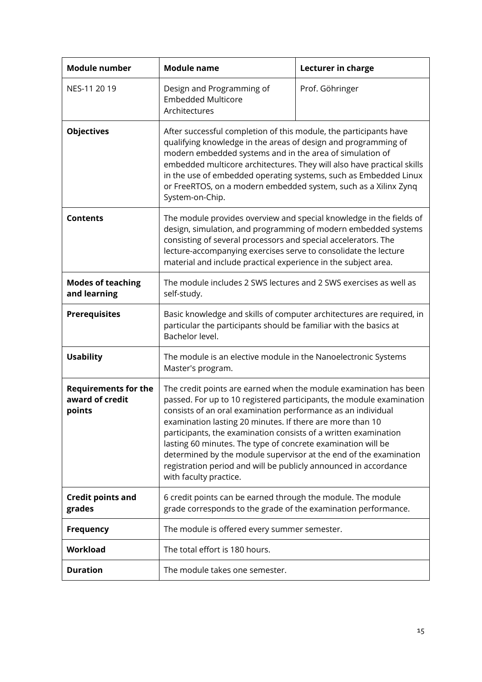<span id="page-14-1"></span><span id="page-14-0"></span>

| <b>Module number</b>                                     | <b>Module name</b>                                                                                                                                                                                                                                                                                                                                                                                                                                                                                                                                                           | Lecturer in charge |
|----------------------------------------------------------|------------------------------------------------------------------------------------------------------------------------------------------------------------------------------------------------------------------------------------------------------------------------------------------------------------------------------------------------------------------------------------------------------------------------------------------------------------------------------------------------------------------------------------------------------------------------------|--------------------|
| NES-11 20 19                                             | Design and Programming of<br><b>Embedded Multicore</b><br>Architectures                                                                                                                                                                                                                                                                                                                                                                                                                                                                                                      | Prof. Göhringer    |
| <b>Objectives</b>                                        | After successful completion of this module, the participants have<br>qualifying knowledge in the areas of design and programming of<br>modern embedded systems and in the area of simulation of<br>embedded multicore architectures. They will also have practical skills<br>in the use of embedded operating systems, such as Embedded Linux<br>or FreeRTOS, on a modern embedded system, such as a Xilinx Zynq<br>System-on-Chip.                                                                                                                                          |                    |
| <b>Contents</b>                                          | The module provides overview and special knowledge in the fields of<br>design, simulation, and programming of modern embedded systems<br>consisting of several processors and special accelerators. The<br>lecture-accompanying exercises serve to consolidate the lecture<br>material and include practical experience in the subject area.                                                                                                                                                                                                                                 |                    |
| <b>Modes of teaching</b><br>and learning                 | The module includes 2 SWS lectures and 2 SWS exercises as well as<br>self-study.                                                                                                                                                                                                                                                                                                                                                                                                                                                                                             |                    |
| <b>Prerequisites</b>                                     | Basic knowledge and skills of computer architectures are required, in<br>particular the participants should be familiar with the basics at<br>Bachelor level.                                                                                                                                                                                                                                                                                                                                                                                                                |                    |
| <b>Usability</b>                                         | The module is an elective module in the Nanoelectronic Systems<br>Master's program.                                                                                                                                                                                                                                                                                                                                                                                                                                                                                          |                    |
| <b>Requirements for the</b><br>award of credit<br>points | The credit points are earned when the module examination has been<br>passed. For up to 10 registered participants, the module examination<br>consists of an oral examination performance as an individual<br>examination lasting 20 minutes. If there are more than 10<br>participants, the examination consists of a written examination<br>lasting 60 minutes. The type of concrete examination will be<br>determined by the module supervisor at the end of the examination<br>registration period and will be publicly announced in accordance<br>with faculty practice. |                    |
| <b>Credit points and</b><br>grades                       | 6 credit points can be earned through the module. The module<br>grade corresponds to the grade of the examination performance.                                                                                                                                                                                                                                                                                                                                                                                                                                               |                    |
| <b>Frequency</b>                                         | The module is offered every summer semester.                                                                                                                                                                                                                                                                                                                                                                                                                                                                                                                                 |                    |
| Workload                                                 | The total effort is 180 hours.                                                                                                                                                                                                                                                                                                                                                                                                                                                                                                                                               |                    |
| <b>Duration</b>                                          | The module takes one semester.                                                                                                                                                                                                                                                                                                                                                                                                                                                                                                                                               |                    |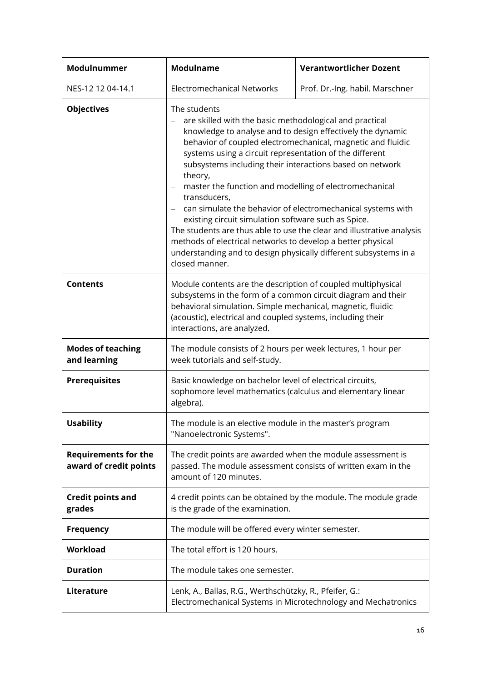<span id="page-15-1"></span><span id="page-15-0"></span>

| Modulnummer                                           | <b>Modulname</b>                                                                                                                                                                                                                                                                                                                                                                                                                                                                                                                                                                                                                                                                                                                                                     | <b>Verantwortlicher Dozent</b>  |
|-------------------------------------------------------|----------------------------------------------------------------------------------------------------------------------------------------------------------------------------------------------------------------------------------------------------------------------------------------------------------------------------------------------------------------------------------------------------------------------------------------------------------------------------------------------------------------------------------------------------------------------------------------------------------------------------------------------------------------------------------------------------------------------------------------------------------------------|---------------------------------|
| NES-12 12 04-14.1                                     | <b>Electromechanical Networks</b>                                                                                                                                                                                                                                                                                                                                                                                                                                                                                                                                                                                                                                                                                                                                    | Prof. Dr.-Ing. habil. Marschner |
| <b>Objectives</b>                                     | The students<br>are skilled with the basic methodological and practical<br>knowledge to analyse and to design effectively the dynamic<br>behavior of coupled electromechanical, magnetic and fluidic<br>systems using a circuit representation of the different<br>subsystems including their interactions based on network<br>theory,<br>master the function and modelling of electromechanical<br>transducers,<br>can simulate the behavior of electromechanical systems with<br>existing circuit simulation software such as Spice.<br>The students are thus able to use the clear and illustrative analysis<br>methods of electrical networks to develop a better physical<br>understanding and to design physically different subsystems in a<br>closed manner. |                                 |
| <b>Contents</b>                                       | Module contents are the description of coupled multiphysical<br>subsystems in the form of a common circuit diagram and their<br>behavioral simulation. Simple mechanical, magnetic, fluidic<br>(acoustic), electrical and coupled systems, including their<br>interactions, are analyzed.                                                                                                                                                                                                                                                                                                                                                                                                                                                                            |                                 |
| <b>Modes of teaching</b><br>and learning              | The module consists of 2 hours per week lectures, 1 hour per<br>week tutorials and self-study.                                                                                                                                                                                                                                                                                                                                                                                                                                                                                                                                                                                                                                                                       |                                 |
| <b>Prerequisites</b>                                  | Basic knowledge on bachelor level of electrical circuits,<br>sophomore level mathematics (calculus and elementary linear<br>algebra).                                                                                                                                                                                                                                                                                                                                                                                                                                                                                                                                                                                                                                |                                 |
| <b>Usability</b>                                      | The module is an elective module in the master's program<br>"Nanoelectronic Systems".                                                                                                                                                                                                                                                                                                                                                                                                                                                                                                                                                                                                                                                                                |                                 |
| <b>Requirements for the</b><br>award of credit points | The credit points are awarded when the module assessment is<br>passed. The module assessment consists of written exam in the<br>amount of 120 minutes.                                                                                                                                                                                                                                                                                                                                                                                                                                                                                                                                                                                                               |                                 |
| <b>Credit points and</b><br>grades                    | 4 credit points can be obtained by the module. The module grade<br>is the grade of the examination.                                                                                                                                                                                                                                                                                                                                                                                                                                                                                                                                                                                                                                                                  |                                 |
| <b>Frequency</b>                                      | The module will be offered every winter semester.                                                                                                                                                                                                                                                                                                                                                                                                                                                                                                                                                                                                                                                                                                                    |                                 |
| Workload                                              | The total effort is 120 hours.                                                                                                                                                                                                                                                                                                                                                                                                                                                                                                                                                                                                                                                                                                                                       |                                 |
| <b>Duration</b>                                       | The module takes one semester.                                                                                                                                                                                                                                                                                                                                                                                                                                                                                                                                                                                                                                                                                                                                       |                                 |
| Literature                                            | Lenk, A., Ballas, R.G., Werthschützky, R., Pfeifer, G.:<br>Electromechanical Systems in Microtechnology and Mechatronics                                                                                                                                                                                                                                                                                                                                                                                                                                                                                                                                                                                                                                             |                                 |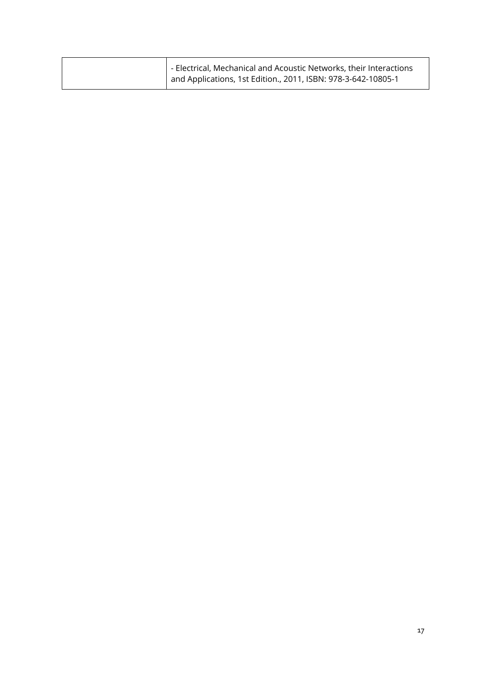| - Electrical, Mechanical and Acoustic Networks, their Interactions<br>and Applications, 1st Edition., 2011, ISBN: 978-3-642-10805-1 |  |
|-------------------------------------------------------------------------------------------------------------------------------------|--|
|-------------------------------------------------------------------------------------------------------------------------------------|--|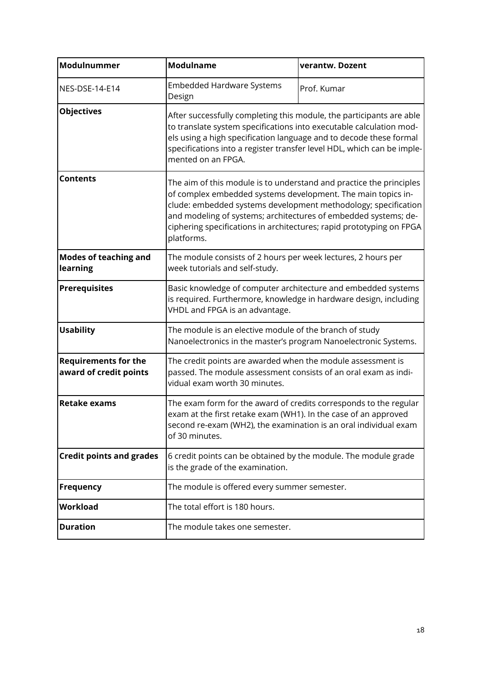<span id="page-17-1"></span><span id="page-17-0"></span>

| Modulnummer                                           | <b>Modulname</b>                                                                                                                                                                                                                                                                                                                                               | verantw. Dozent |
|-------------------------------------------------------|----------------------------------------------------------------------------------------------------------------------------------------------------------------------------------------------------------------------------------------------------------------------------------------------------------------------------------------------------------------|-----------------|
| NES-DSE-14-E14                                        | <b>Embedded Hardware Systems</b><br>Design                                                                                                                                                                                                                                                                                                                     | Prof. Kumar     |
| <b>Objectives</b>                                     | After successfully completing this module, the participants are able<br>to translate system specifications into executable calculation mod-<br>els using a high specification language and to decode these formal<br>specifications into a register transfer level HDL, which can be imple-<br>mented on an FPGA.                                              |                 |
| <b>Contents</b>                                       | The aim of this module is to understand and practice the principles<br>of complex embedded systems development. The main topics in-<br>clude: embedded systems development methodology; specification<br>and modeling of systems; architectures of embedded systems; de-<br>ciphering specifications in architectures; rapid prototyping on FPGA<br>platforms. |                 |
| <b>Modes of teaching and</b><br>learning              | The module consists of 2 hours per week lectures, 2 hours per<br>week tutorials and self-study.                                                                                                                                                                                                                                                                |                 |
| <b>Prerequisites</b>                                  | Basic knowledge of computer architecture and embedded systems<br>is required. Furthermore, knowledge in hardware design, including<br>VHDL and FPGA is an advantage.                                                                                                                                                                                           |                 |
| <b>Usability</b>                                      | The module is an elective module of the branch of study<br>Nanoelectronics in the master's program Nanoelectronic Systems.                                                                                                                                                                                                                                     |                 |
| <b>Requirements for the</b><br>award of credit points | The credit points are awarded when the module assessment is<br>passed. The module assessment consists of an oral exam as indi-<br>vidual exam worth 30 minutes.                                                                                                                                                                                                |                 |
| <b>Retake exams</b>                                   | The exam form for the award of credits corresponds to the regular<br>exam at the first retake exam (WH1). In the case of an approved<br>second re-exam (WH2), the examination is an oral individual exam<br>of 30 minutes.                                                                                                                                     |                 |
| <b>Credit points and grades</b>                       | 6 credit points can be obtained by the module. The module grade<br>is the grade of the examination.                                                                                                                                                                                                                                                            |                 |
| <b>Frequency</b>                                      | The module is offered every summer semester.                                                                                                                                                                                                                                                                                                                   |                 |
| <b>Workload</b>                                       | The total effort is 180 hours.                                                                                                                                                                                                                                                                                                                                 |                 |
| <b>Duration</b>                                       | The module takes one semester.                                                                                                                                                                                                                                                                                                                                 |                 |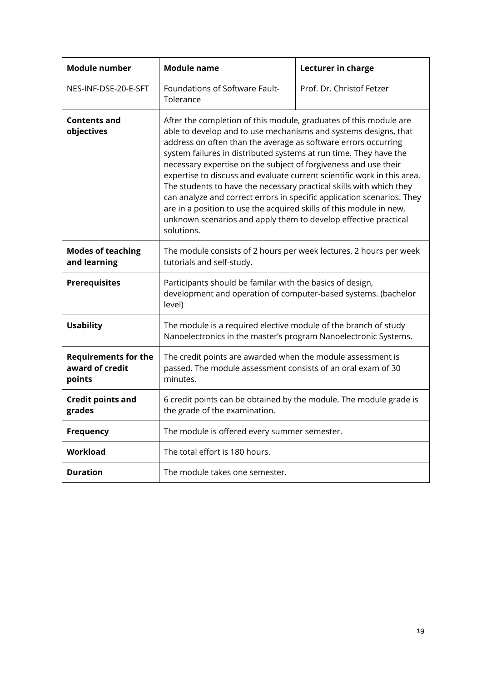<span id="page-18-1"></span><span id="page-18-0"></span>

| <b>Module number</b>                                     | <b>Module name</b>                                                                                                                                                                                                                                                                                                                                                                                                                                                                                                                                                                                                                                                                                                                 | Lecturer in charge        |
|----------------------------------------------------------|------------------------------------------------------------------------------------------------------------------------------------------------------------------------------------------------------------------------------------------------------------------------------------------------------------------------------------------------------------------------------------------------------------------------------------------------------------------------------------------------------------------------------------------------------------------------------------------------------------------------------------------------------------------------------------------------------------------------------------|---------------------------|
| NES-INF-DSE-20-E-SFT                                     | Foundations of Software Fault-<br>Tolerance                                                                                                                                                                                                                                                                                                                                                                                                                                                                                                                                                                                                                                                                                        | Prof. Dr. Christof Fetzer |
| <b>Contents and</b><br>objectives                        | After the completion of this module, graduates of this module are<br>able to develop and to use mechanisms and systems designs, that<br>address on often than the average as software errors occurring<br>system failures in distributed systems at run time. They have the<br>necessary expertise on the subject of forgiveness and use their<br>expertise to discuss and evaluate current scientific work in this area.<br>The students to have the necessary practical skills with which they<br>can analyze and correct errors in specific application scenarios. They<br>are in a position to use the acquired skills of this module in new,<br>unknown scenarios and apply them to develop effective practical<br>solutions. |                           |
| <b>Modes of teaching</b><br>and learning                 | The module consists of 2 hours per week lectures, 2 hours per week<br>tutorials and self-study.                                                                                                                                                                                                                                                                                                                                                                                                                                                                                                                                                                                                                                    |                           |
| <b>Prerequisites</b>                                     | Participants should be familar with the basics of design,<br>development and operation of computer-based systems. (bachelor<br>level)                                                                                                                                                                                                                                                                                                                                                                                                                                                                                                                                                                                              |                           |
| <b>Usability</b>                                         | The module is a required elective module of the branch of study<br>Nanoelectronics in the master's program Nanoelectronic Systems.                                                                                                                                                                                                                                                                                                                                                                                                                                                                                                                                                                                                 |                           |
| <b>Requirements for the</b><br>award of credit<br>points | The credit points are awarded when the module assessment is<br>passed. The module assessment consists of an oral exam of 30<br>minutes.                                                                                                                                                                                                                                                                                                                                                                                                                                                                                                                                                                                            |                           |
| <b>Credit points and</b><br>grades                       | 6 credit points can be obtained by the module. The module grade is<br>the grade of the examination.                                                                                                                                                                                                                                                                                                                                                                                                                                                                                                                                                                                                                                |                           |
| <b>Frequency</b>                                         | The module is offered every summer semester.                                                                                                                                                                                                                                                                                                                                                                                                                                                                                                                                                                                                                                                                                       |                           |
| Workload                                                 | The total effort is 180 hours.                                                                                                                                                                                                                                                                                                                                                                                                                                                                                                                                                                                                                                                                                                     |                           |
| <b>Duration</b>                                          | The module takes one semester.                                                                                                                                                                                                                                                                                                                                                                                                                                                                                                                                                                                                                                                                                                     |                           |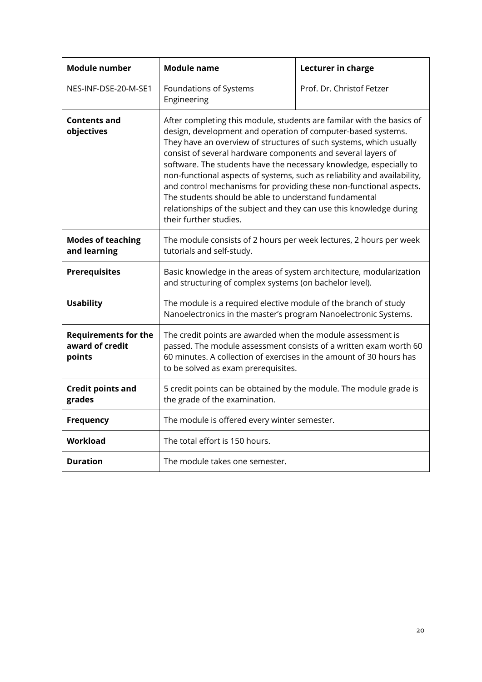<span id="page-19-1"></span><span id="page-19-0"></span>

| <b>Module number</b>                                     | <b>Module name</b>                                                                                                                                                                                                                                                                                                                                                                                                                                                                                                                                                                                                                                            | Lecturer in charge        |
|----------------------------------------------------------|---------------------------------------------------------------------------------------------------------------------------------------------------------------------------------------------------------------------------------------------------------------------------------------------------------------------------------------------------------------------------------------------------------------------------------------------------------------------------------------------------------------------------------------------------------------------------------------------------------------------------------------------------------------|---------------------------|
| NES-INF-DSE-20-M-SE1                                     | Foundations of Systems<br>Engineering                                                                                                                                                                                                                                                                                                                                                                                                                                                                                                                                                                                                                         | Prof. Dr. Christof Fetzer |
| <b>Contents and</b><br>objectives                        | After completing this module, students are familar with the basics of<br>design, development and operation of computer-based systems.<br>They have an overview of structures of such systems, which usually<br>consist of several hardware components and several layers of<br>software. The students have the necessary knowledge, especially to<br>non-functional aspects of systems, such as reliability and availability,<br>and control mechanisms for providing these non-functional aspects.<br>The students should be able to understand fundamental<br>relationships of the subject and they can use this knowledge during<br>their further studies. |                           |
| <b>Modes of teaching</b><br>and learning                 | The module consists of 2 hours per week lectures, 2 hours per week<br>tutorials and self-study.                                                                                                                                                                                                                                                                                                                                                                                                                                                                                                                                                               |                           |
| <b>Prerequisites</b>                                     | Basic knowledge in the areas of system architecture, modularization<br>and structuring of complex systems (on bachelor level).                                                                                                                                                                                                                                                                                                                                                                                                                                                                                                                                |                           |
| <b>Usability</b>                                         | The module is a required elective module of the branch of study<br>Nanoelectronics in the master's program Nanoelectronic Systems.                                                                                                                                                                                                                                                                                                                                                                                                                                                                                                                            |                           |
| <b>Requirements for the</b><br>award of credit<br>points | The credit points are awarded when the module assessment is<br>passed. The module assessment consists of a written exam worth 60<br>60 minutes. A collection of exercises in the amount of 30 hours has<br>to be solved as exam prerequisites.                                                                                                                                                                                                                                                                                                                                                                                                                |                           |
| <b>Credit points and</b><br>grades                       | 5 credit points can be obtained by the module. The module grade is<br>the grade of the examination.                                                                                                                                                                                                                                                                                                                                                                                                                                                                                                                                                           |                           |
| <b>Frequency</b>                                         | The module is offered every winter semester.                                                                                                                                                                                                                                                                                                                                                                                                                                                                                                                                                                                                                  |                           |
| Workload                                                 | The total effort is 150 hours.                                                                                                                                                                                                                                                                                                                                                                                                                                                                                                                                                                                                                                |                           |
| <b>Duration</b>                                          | The module takes one semester.                                                                                                                                                                                                                                                                                                                                                                                                                                                                                                                                                                                                                                |                           |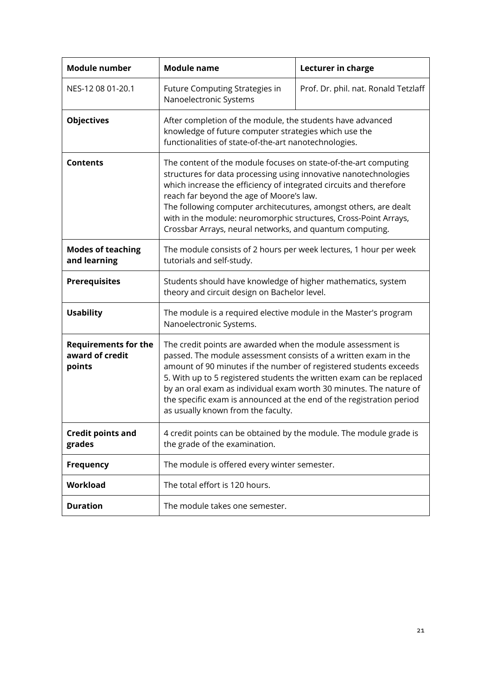<span id="page-20-1"></span><span id="page-20-0"></span>

| <b>Module number</b>                                     | <b>Module name</b>                                                                                                                                                                                                                                                                                                                                                                                                                                              | Lecturer in charge                   |
|----------------------------------------------------------|-----------------------------------------------------------------------------------------------------------------------------------------------------------------------------------------------------------------------------------------------------------------------------------------------------------------------------------------------------------------------------------------------------------------------------------------------------------------|--------------------------------------|
| NES-12 08 01-20.1                                        | Future Computing Strategies in<br>Nanoelectronic Systems                                                                                                                                                                                                                                                                                                                                                                                                        | Prof. Dr. phil. nat. Ronald Tetzlaff |
| <b>Objectives</b>                                        | After completion of the module, the students have advanced<br>knowledge of future computer strategies which use the<br>functionalities of state-of-the-art nanotechnologies.                                                                                                                                                                                                                                                                                    |                                      |
| <b>Contents</b>                                          | The content of the module focuses on state-of-the-art computing<br>structures for data processing using innovative nanotechnologies<br>which increase the efficiency of integrated circuits and therefore<br>reach far beyond the age of Moore's law.<br>The following computer architecutures, amongst others, are dealt<br>with in the module: neuromorphic structures, Cross-Point Arrays,<br>Crossbar Arrays, neural networks, and quantum computing.       |                                      |
| <b>Modes of teaching</b><br>and learning                 | The module consists of 2 hours per week lectures, 1 hour per week<br>tutorials and self-study.                                                                                                                                                                                                                                                                                                                                                                  |                                      |
| <b>Prerequisites</b>                                     | Students should have knowledge of higher mathematics, system<br>theory and circuit design on Bachelor level.                                                                                                                                                                                                                                                                                                                                                    |                                      |
| <b>Usability</b>                                         | The module is a required elective module in the Master's program<br>Nanoelectronic Systems.                                                                                                                                                                                                                                                                                                                                                                     |                                      |
| <b>Requirements for the</b><br>award of credit<br>points | The credit points are awarded when the module assessment is<br>passed. The module assessment consists of a written exam in the<br>amount of 90 minutes if the number of registered students exceeds<br>5. With up to 5 registered students the written exam can be replaced<br>by an oral exam as individual exam worth 30 minutes. The nature of<br>the specific exam is announced at the end of the registration period<br>as usually known from the faculty. |                                      |
| <b>Credit points and</b><br>grades                       | 4 credit points can be obtained by the module. The module grade is<br>the grade of the examination.                                                                                                                                                                                                                                                                                                                                                             |                                      |
| <b>Frequency</b>                                         | The module is offered every winter semester.                                                                                                                                                                                                                                                                                                                                                                                                                    |                                      |
| Workload                                                 | The total effort is 120 hours.                                                                                                                                                                                                                                                                                                                                                                                                                                  |                                      |
| <b>Duration</b>                                          | The module takes one semester.                                                                                                                                                                                                                                                                                                                                                                                                                                  |                                      |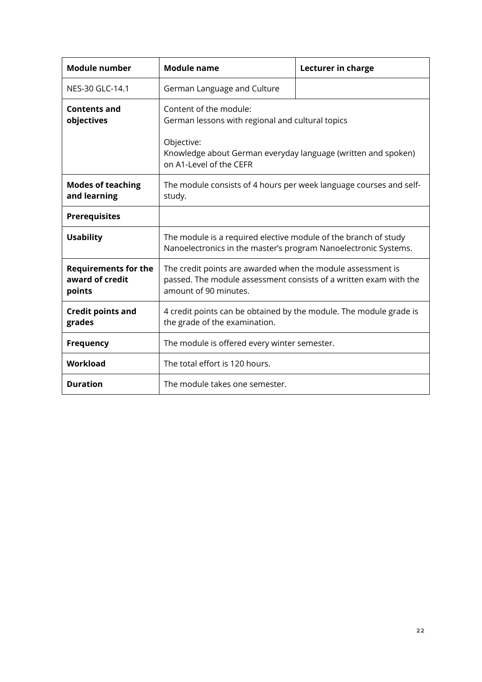<span id="page-21-1"></span><span id="page-21-0"></span>

| <b>Module number</b>                                     | <b>Module name</b>                                                                                                                                        | Lecturer in charge |
|----------------------------------------------------------|-----------------------------------------------------------------------------------------------------------------------------------------------------------|--------------------|
| NES-30 GLC-14.1                                          | German Language and Culture                                                                                                                               |                    |
| <b>Contents and</b><br>objectives                        | Content of the module:<br>German lessons with regional and cultural topics                                                                                |                    |
|                                                          | Objective:<br>Knowledge about German everyday language (written and spoken)<br>on A1-Level of the CEFR                                                    |                    |
| <b>Modes of teaching</b><br>and learning                 | The module consists of 4 hours per week language courses and self-<br>study.                                                                              |                    |
| <b>Prerequisites</b>                                     |                                                                                                                                                           |                    |
| <b>Usability</b>                                         | The module is a required elective module of the branch of study<br>Nanoelectronics in the master's program Nanoelectronic Systems.                        |                    |
| <b>Requirements for the</b><br>award of credit<br>points | The credit points are awarded when the module assessment is<br>passed. The module assessment consists of a written exam with the<br>amount of 90 minutes. |                    |
| <b>Credit points and</b><br>grades                       | 4 credit points can be obtained by the module. The module grade is<br>the grade of the examination.                                                       |                    |
| <b>Frequency</b>                                         | The module is offered every winter semester.                                                                                                              |                    |
| Workload                                                 | The total effort is 120 hours.                                                                                                                            |                    |
| <b>Duration</b>                                          | The module takes one semester.                                                                                                                            |                    |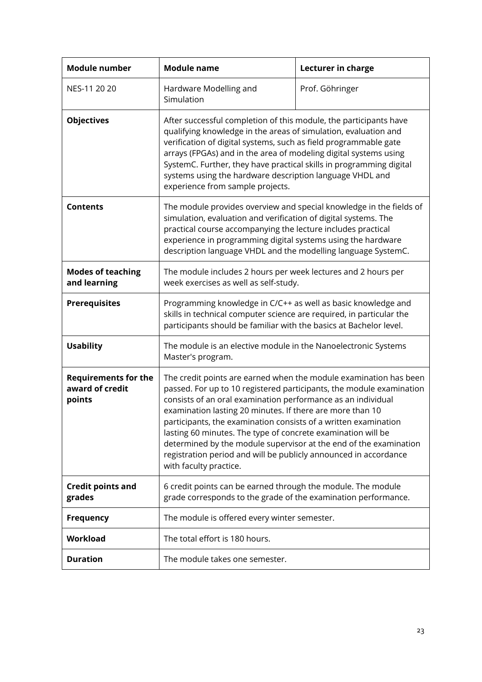<span id="page-22-1"></span><span id="page-22-0"></span>

| <b>Module number</b>                                     | <b>Module name</b>                                                                                                                                                                                                                                                                                                                                                                                                                                                                                                                                                           | Lecturer in charge |
|----------------------------------------------------------|------------------------------------------------------------------------------------------------------------------------------------------------------------------------------------------------------------------------------------------------------------------------------------------------------------------------------------------------------------------------------------------------------------------------------------------------------------------------------------------------------------------------------------------------------------------------------|--------------------|
| NES-11 20 20                                             | Hardware Modelling and<br>Simulation                                                                                                                                                                                                                                                                                                                                                                                                                                                                                                                                         | Prof. Göhringer    |
| <b>Objectives</b>                                        | After successful completion of this module, the participants have<br>qualifying knowledge in the areas of simulation, evaluation and<br>verification of digital systems, such as field programmable gate<br>arrays (FPGAs) and in the area of modeling digital systems using<br>SystemC. Further, they have practical skills in programming digital<br>systems using the hardware description language VHDL and<br>experience from sample projects.                                                                                                                          |                    |
| <b>Contents</b>                                          | The module provides overview and special knowledge in the fields of<br>simulation, evaluation and verification of digital systems. The<br>practical course accompanying the lecture includes practical<br>experience in programming digital systems using the hardware<br>description language VHDL and the modelling language SystemC.                                                                                                                                                                                                                                      |                    |
| <b>Modes of teaching</b><br>and learning                 | The module includes 2 hours per week lectures and 2 hours per<br>week exercises as well as self-study.                                                                                                                                                                                                                                                                                                                                                                                                                                                                       |                    |
| <b>Prerequisites</b>                                     | Programming knowledge in C/C++ as well as basic knowledge and<br>skills in technical computer science are required, in particular the<br>participants should be familiar with the basics at Bachelor level.                                                                                                                                                                                                                                                                                                                                                                  |                    |
| <b>Usability</b>                                         | The module is an elective module in the Nanoelectronic Systems<br>Master's program.                                                                                                                                                                                                                                                                                                                                                                                                                                                                                          |                    |
| <b>Requirements for the</b><br>award of credit<br>points | The credit points are earned when the module examination has been<br>passed. For up to 10 registered participants, the module examination<br>consists of an oral examination performance as an individual<br>examination lasting 20 minutes. If there are more than 10<br>participants, the examination consists of a written examination<br>lasting 60 minutes. The type of concrete examination will be<br>determined by the module supervisor at the end of the examination<br>registration period and will be publicly announced in accordance<br>with faculty practice. |                    |
| <b>Credit points and</b><br>grades                       | 6 credit points can be earned through the module. The module<br>grade corresponds to the grade of the examination performance.                                                                                                                                                                                                                                                                                                                                                                                                                                               |                    |
| <b>Frequency</b>                                         | The module is offered every winter semester.                                                                                                                                                                                                                                                                                                                                                                                                                                                                                                                                 |                    |
| Workload                                                 | The total effort is 180 hours.                                                                                                                                                                                                                                                                                                                                                                                                                                                                                                                                               |                    |
| <b>Duration</b>                                          | The module takes one semester.                                                                                                                                                                                                                                                                                                                                                                                                                                                                                                                                               |                    |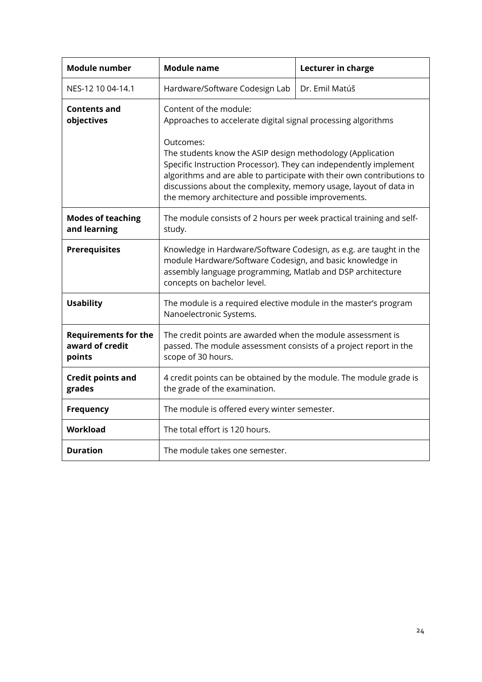<span id="page-23-1"></span><span id="page-23-0"></span>

| <b>Module number</b>                                     | <b>Module name</b>                                                                                                                                                                                                                                                                                                                                                                                                                           | Lecturer in charge |
|----------------------------------------------------------|----------------------------------------------------------------------------------------------------------------------------------------------------------------------------------------------------------------------------------------------------------------------------------------------------------------------------------------------------------------------------------------------------------------------------------------------|--------------------|
| NES-12 10 04-14.1                                        | Hardware/Software Codesign Lab                                                                                                                                                                                                                                                                                                                                                                                                               | Dr. Emil Matúš     |
| Contents and<br>objectives                               | Content of the module:<br>Approaches to accelerate digital signal processing algorithms<br>Outcomes:<br>The students know the ASIP design methodology (Application<br>Specific Instruction Processor). They can independently implement<br>algorithms and are able to participate with their own contributions to<br>discussions about the complexity, memory usage, layout of data in<br>the memory architecture and possible improvements. |                    |
| <b>Modes of teaching</b><br>and learning                 | The module consists of 2 hours per week practical training and self-<br>study.                                                                                                                                                                                                                                                                                                                                                               |                    |
| <b>Prerequisites</b>                                     | Knowledge in Hardware/Software Codesign, as e.g. are taught in the<br>module Hardware/Software Codesign, and basic knowledge in<br>assembly language programming, Matlab and DSP architecture<br>concepts on bachelor level.                                                                                                                                                                                                                 |                    |
| <b>Usability</b>                                         | The module is a required elective module in the master's program<br>Nanoelectronic Systems.                                                                                                                                                                                                                                                                                                                                                  |                    |
| <b>Requirements for the</b><br>award of credit<br>points | The credit points are awarded when the module assessment is<br>passed. The module assessment consists of a project report in the<br>scope of 30 hours.                                                                                                                                                                                                                                                                                       |                    |
| <b>Credit points and</b><br>grades                       | 4 credit points can be obtained by the module. The module grade is<br>the grade of the examination.                                                                                                                                                                                                                                                                                                                                          |                    |
| <b>Frequency</b>                                         | The module is offered every winter semester.                                                                                                                                                                                                                                                                                                                                                                                                 |                    |
| Workload                                                 | The total effort is 120 hours.                                                                                                                                                                                                                                                                                                                                                                                                               |                    |
| Duration                                                 | The module takes one semester.                                                                                                                                                                                                                                                                                                                                                                                                               |                    |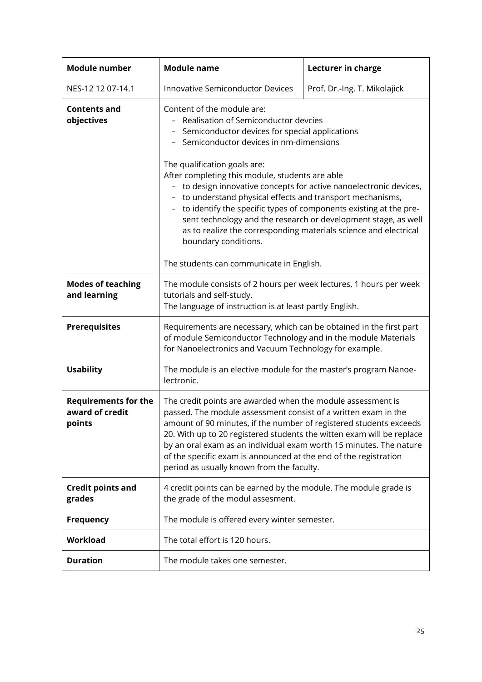<span id="page-24-1"></span><span id="page-24-0"></span>

| <b>Module number</b>                                     | <b>Module name</b>                                                                                                                                                                                                                                                                                                                                                                                                                                                                                                                                                                                                                                     | Lecturer in charge           |
|----------------------------------------------------------|--------------------------------------------------------------------------------------------------------------------------------------------------------------------------------------------------------------------------------------------------------------------------------------------------------------------------------------------------------------------------------------------------------------------------------------------------------------------------------------------------------------------------------------------------------------------------------------------------------------------------------------------------------|------------------------------|
| NES-12 12 07-14.1                                        | <b>Innovative Semiconductor Devices</b>                                                                                                                                                                                                                                                                                                                                                                                                                                                                                                                                                                                                                | Prof. Dr.-Ing. T. Mikolajick |
| <b>Contents and</b><br>objectives                        | Content of the module are:<br>Realisation of Semiconductor devcies<br>Semiconductor devices for special applications<br>- Semiconductor devices in nm-dimensions<br>The qualification goals are:<br>After completing this module, students are able<br>- to design innovative concepts for active nanoelectronic devices,<br>- to understand physical effects and transport mechanisms,<br>to identify the specific types of components existing at the pre-<br>$\overline{\phantom{a}}$<br>sent technology and the research or development stage, as well<br>as to realize the corresponding materials science and electrical<br>boundary conditions. |                              |
|                                                          | The students can communicate in English.                                                                                                                                                                                                                                                                                                                                                                                                                                                                                                                                                                                                               |                              |
| <b>Modes of teaching</b><br>and learning                 | The module consists of 2 hours per week lectures, 1 hours per week<br>tutorials and self-study.<br>The language of instruction is at least partly English.                                                                                                                                                                                                                                                                                                                                                                                                                                                                                             |                              |
| <b>Prerequisites</b>                                     | Requirements are necessary, which can be obtained in the first part<br>of module Semiconductor Technology and in the module Materials<br>for Nanoelectronics and Vacuum Technology for example.                                                                                                                                                                                                                                                                                                                                                                                                                                                        |                              |
| <b>Usability</b>                                         | The module is an elective module for the master's program Nanoe-<br>lectronic.                                                                                                                                                                                                                                                                                                                                                                                                                                                                                                                                                                         |                              |
| <b>Requirements for the</b><br>award of credit<br>points | The credit points are awarded when the module assessment is<br>passed. The module assessment consist of a written exam in the<br>amount of 90 minutes, if the number of registered students exceeds<br>20. With up to 20 registered students the witten exam will be replace<br>by an oral exam as an individual exam worth 15 minutes. The nature<br>of the specific exam is announced at the end of the registration<br>period as usually known from the faculty.                                                                                                                                                                                    |                              |
| <b>Credit points and</b><br>grades                       | 4 credit points can be earned by the module. The module grade is<br>the grade of the modul assesment.                                                                                                                                                                                                                                                                                                                                                                                                                                                                                                                                                  |                              |
| <b>Frequency</b>                                         | The module is offered every winter semester.                                                                                                                                                                                                                                                                                                                                                                                                                                                                                                                                                                                                           |                              |
| Workload                                                 | The total effort is 120 hours.                                                                                                                                                                                                                                                                                                                                                                                                                                                                                                                                                                                                                         |                              |
| <b>Duration</b>                                          | The module takes one semester.                                                                                                                                                                                                                                                                                                                                                                                                                                                                                                                                                                                                                         |                              |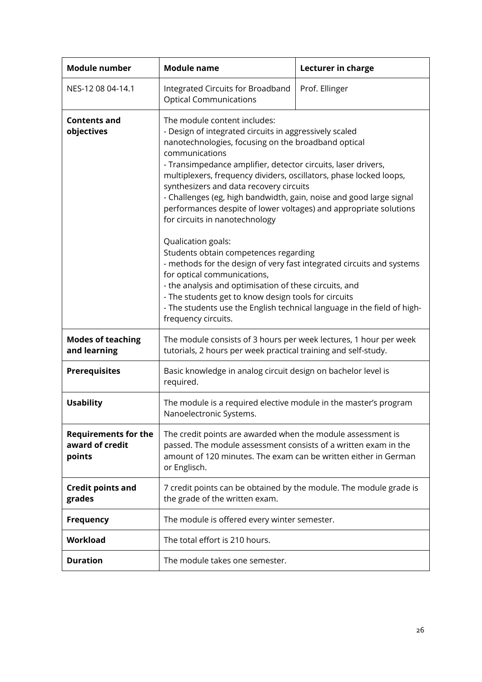<span id="page-25-1"></span><span id="page-25-0"></span>

| <b>Module number</b>                                     | <b>Module name</b>                                                                                                                                                                                                                                                                                                                                                                                                                                                                                                                                                                                                                                                                                                                                                                                                                                                                                                         | Lecturer in charge |
|----------------------------------------------------------|----------------------------------------------------------------------------------------------------------------------------------------------------------------------------------------------------------------------------------------------------------------------------------------------------------------------------------------------------------------------------------------------------------------------------------------------------------------------------------------------------------------------------------------------------------------------------------------------------------------------------------------------------------------------------------------------------------------------------------------------------------------------------------------------------------------------------------------------------------------------------------------------------------------------------|--------------------|
| NES-12 08 04-14.1                                        | Integrated Circuits for Broadband<br><b>Optical Communications</b>                                                                                                                                                                                                                                                                                                                                                                                                                                                                                                                                                                                                                                                                                                                                                                                                                                                         | Prof. Ellinger     |
| <b>Contents and</b><br>objectives                        | The module content includes:<br>- Design of integrated circuits in aggressively scaled<br>nanotechnologies, focusing on the broadband optical<br>communications<br>- Transimpedance amplifier, detector circuits, laser drivers,<br>multiplexers, frequency dividers, oscillators, phase locked loops,<br>synthesizers and data recovery circuits<br>- Challenges (eg, high bandwidth, gain, noise and good large signal<br>performances despite of lower voltages) and appropriate solutions<br>for circuits in nanotechnology<br>Qualication goals:<br>Students obtain competences regarding<br>- methods for the design of very fast integrated circuits and systems<br>for optical communications,<br>- the analysis and optimisation of these circuits, and<br>- The students get to know design tools for circuits<br>- The students use the English technical language in the field of high-<br>frequency circuits. |                    |
| <b>Modes of teaching</b><br>and learning                 | The module consists of 3 hours per week lectures, 1 hour per week<br>tutorials, 2 hours per week practical training and self-study.                                                                                                                                                                                                                                                                                                                                                                                                                                                                                                                                                                                                                                                                                                                                                                                        |                    |
| <b>Prerequisites</b>                                     | Basic knowledge in analog circuit design on bachelor level is<br>required.                                                                                                                                                                                                                                                                                                                                                                                                                                                                                                                                                                                                                                                                                                                                                                                                                                                 |                    |
| <b>Usability</b>                                         | The module is a required elective module in the master's program<br>Nanoelectronic Systems.                                                                                                                                                                                                                                                                                                                                                                                                                                                                                                                                                                                                                                                                                                                                                                                                                                |                    |
| <b>Requirements for the</b><br>award of credit<br>points | The credit points are awarded when the module assessment is<br>passed. The module assessment consists of a written exam in the<br>amount of 120 minutes. The exam can be written either in German<br>or Englisch.                                                                                                                                                                                                                                                                                                                                                                                                                                                                                                                                                                                                                                                                                                          |                    |
| <b>Credit points and</b><br>grades                       | 7 credit points can be obtained by the module. The module grade is<br>the grade of the written exam.                                                                                                                                                                                                                                                                                                                                                                                                                                                                                                                                                                                                                                                                                                                                                                                                                       |                    |
| <b>Frequency</b>                                         | The module is offered every winter semester.                                                                                                                                                                                                                                                                                                                                                                                                                                                                                                                                                                                                                                                                                                                                                                                                                                                                               |                    |
| Workload                                                 | The total effort is 210 hours.                                                                                                                                                                                                                                                                                                                                                                                                                                                                                                                                                                                                                                                                                                                                                                                                                                                                                             |                    |
| <b>Duration</b>                                          | The module takes one semester.                                                                                                                                                                                                                                                                                                                                                                                                                                                                                                                                                                                                                                                                                                                                                                                                                                                                                             |                    |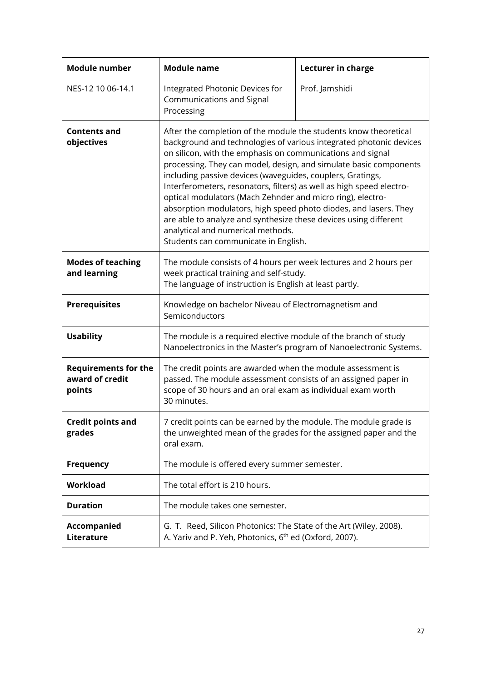<span id="page-26-1"></span><span id="page-26-0"></span>

| <b>Module number</b>                                     | <b>Module name</b>                                                                                                                                                                                                                                                                                                                                                                                                                                                                                                                                                                                                                                                                                 | Lecturer in charge |
|----------------------------------------------------------|----------------------------------------------------------------------------------------------------------------------------------------------------------------------------------------------------------------------------------------------------------------------------------------------------------------------------------------------------------------------------------------------------------------------------------------------------------------------------------------------------------------------------------------------------------------------------------------------------------------------------------------------------------------------------------------------------|--------------------|
| NES-12 10 06-14.1                                        | Integrated Photonic Devices for<br>Communications and Signal<br>Processing                                                                                                                                                                                                                                                                                                                                                                                                                                                                                                                                                                                                                         | Prof. Jamshidi     |
| <b>Contents and</b><br>objectives                        | After the completion of the module the students know theoretical<br>background and technologies of various integrated photonic devices<br>on silicon, with the emphasis on communications and signal<br>processing. They can model, design, and simulate basic components<br>including passive devices (waveguides, couplers, Gratings,<br>Interferometers, resonators, filters) as well as high speed electro-<br>optical modulators (Mach Zehnder and micro ring), electro-<br>absorption modulators, high speed photo diodes, and lasers. They<br>are able to analyze and synthesize these devices using different<br>analytical and numerical methods.<br>Students can communicate in English. |                    |
| <b>Modes of teaching</b><br>and learning                 | The module consists of 4 hours per week lectures and 2 hours per<br>week practical training and self-study.<br>The language of instruction is English at least partly.                                                                                                                                                                                                                                                                                                                                                                                                                                                                                                                             |                    |
| <b>Prerequisites</b>                                     | Knowledge on bachelor Niveau of Electromagnetism and<br>Semiconductors                                                                                                                                                                                                                                                                                                                                                                                                                                                                                                                                                                                                                             |                    |
| <b>Usability</b>                                         | The module is a required elective module of the branch of study<br>Nanoelectronics in the Master's program of Nanoelectronic Systems.                                                                                                                                                                                                                                                                                                                                                                                                                                                                                                                                                              |                    |
| <b>Requirements for the</b><br>award of credit<br>points | The credit points are awarded when the module assessment is<br>passed. The module assessment consists of an assigned paper in<br>scope of 30 hours and an oral exam as individual exam worth<br>30 minutes.                                                                                                                                                                                                                                                                                                                                                                                                                                                                                        |                    |
| Credit points and<br>grades                              | 7 credit points can be earned by the module. The module grade is<br>the unweighted mean of the grades for the assigned paper and the<br>oral exam.                                                                                                                                                                                                                                                                                                                                                                                                                                                                                                                                                 |                    |
| <b>Frequency</b>                                         | The module is offered every summer semester.                                                                                                                                                                                                                                                                                                                                                                                                                                                                                                                                                                                                                                                       |                    |
| Workload                                                 | The total effort is 210 hours.                                                                                                                                                                                                                                                                                                                                                                                                                                                                                                                                                                                                                                                                     |                    |
| <b>Duration</b>                                          | The module takes one semester.                                                                                                                                                                                                                                                                                                                                                                                                                                                                                                                                                                                                                                                                     |                    |
| <b>Accompanied</b><br>Literature                         | G. T. Reed, Silicon Photonics: The State of the Art (Wiley, 2008).<br>A. Yariv and P. Yeh, Photonics, 6 <sup>th</sup> ed (Oxford, 2007).                                                                                                                                                                                                                                                                                                                                                                                                                                                                                                                                                           |                    |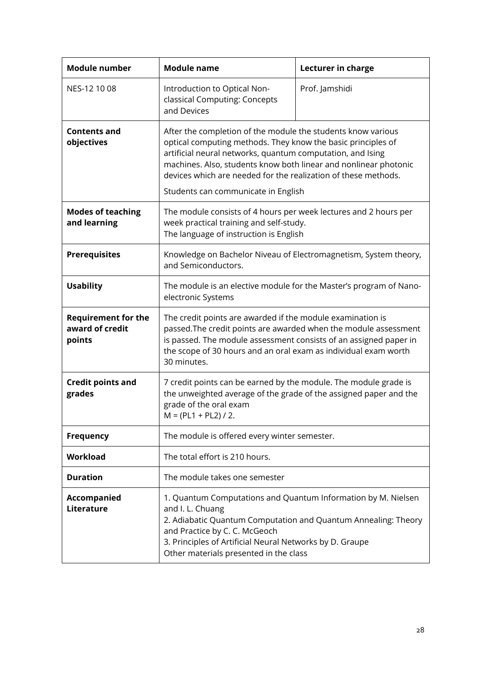<span id="page-27-1"></span><span id="page-27-0"></span>

| <b>Module number</b>                                    | <b>Module name</b>                                                                                                                                                                                                                                                                                                                                                      | Lecturer in charge |
|---------------------------------------------------------|-------------------------------------------------------------------------------------------------------------------------------------------------------------------------------------------------------------------------------------------------------------------------------------------------------------------------------------------------------------------------|--------------------|
| NES-12 10 08                                            | Introduction to Optical Non-<br>classical Computing: Concepts<br>and Devices                                                                                                                                                                                                                                                                                            | Prof. Jamshidi     |
| <b>Contents and</b><br>objectives                       | After the completion of the module the students know various<br>optical computing methods. They know the basic principles of<br>artificial neural networks, quantum computation, and Ising<br>machines. Also, students know both linear and nonlinear photonic<br>devices which are needed for the realization of these methods.<br>Students can communicate in English |                    |
| <b>Modes of teaching</b><br>and learning                | The module consists of 4 hours per week lectures and 2 hours per<br>week practical training and self-study.<br>The language of instruction is English                                                                                                                                                                                                                   |                    |
| <b>Prerequisites</b>                                    | Knowledge on Bachelor Niveau of Electromagnetism, System theory,<br>and Semiconductors.                                                                                                                                                                                                                                                                                 |                    |
| <b>Usability</b>                                        | The module is an elective module for the Master's program of Nano-<br>electronic Systems                                                                                                                                                                                                                                                                                |                    |
| <b>Requirement for the</b><br>award of credit<br>points | The credit points are awarded if the module examination is<br>passed. The credit points are awarded when the module assessment<br>is passed. The module assessment consists of an assigned paper in<br>the scope of 30 hours and an oral exam as individual exam worth<br>30 minutes.                                                                                   |                    |
| <b>Credit points and</b><br>grades                      | 7 credit points can be earned by the module. The module grade is<br>the unweighted average of the grade of the assigned paper and the<br>grade of the oral exam<br>$M = (PL1 + PL2) / 2.$                                                                                                                                                                               |                    |
| <b>Frequency</b>                                        | The module is offered every winter semester.                                                                                                                                                                                                                                                                                                                            |                    |
| Workload                                                | The total effort is 210 hours.                                                                                                                                                                                                                                                                                                                                          |                    |
| <b>Duration</b>                                         | The module takes one semester                                                                                                                                                                                                                                                                                                                                           |                    |
| <b>Accompanied</b><br>Literature                        | 1. Quantum Computations and Quantum Information by M. Nielsen<br>and I. L. Chuang<br>2. Adiabatic Quantum Computation and Quantum Annealing: Theory<br>and Practice by C. C. McGeoch<br>3. Principles of Artificial Neural Networks by D. Graupe<br>Other materials presented in the class                                                                              |                    |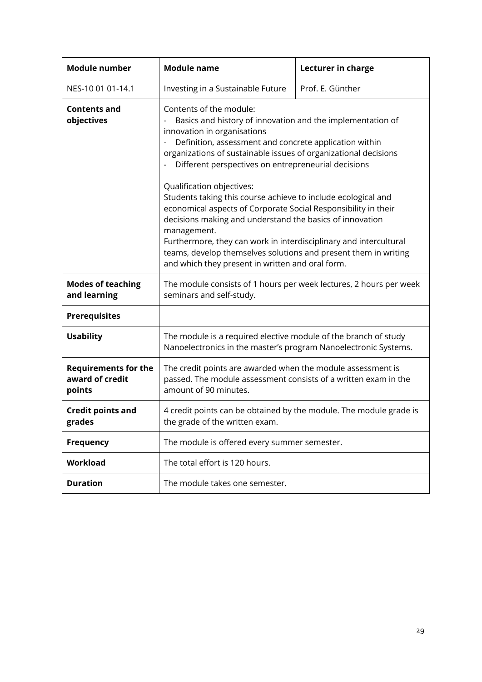<span id="page-28-1"></span><span id="page-28-0"></span>

| <b>Module number</b>                                     | <b>Module name</b>                                                                                                                                                                                                                                                                                                                                                                                                                                                                                                                                                                                                                                                                                                                              | Lecturer in charge |
|----------------------------------------------------------|-------------------------------------------------------------------------------------------------------------------------------------------------------------------------------------------------------------------------------------------------------------------------------------------------------------------------------------------------------------------------------------------------------------------------------------------------------------------------------------------------------------------------------------------------------------------------------------------------------------------------------------------------------------------------------------------------------------------------------------------------|--------------------|
| NES-10 01 01-14.1                                        | Investing in a Sustainable Future                                                                                                                                                                                                                                                                                                                                                                                                                                                                                                                                                                                                                                                                                                               | Prof. E. Günther   |
| <b>Contents and</b><br>objectives                        | Contents of the module:<br>Basics and history of innovation and the implementation of<br>innovation in organisations<br>Definition, assessment and concrete application within<br>organizations of sustainable issues of organizational decisions<br>Different perspectives on entrepreneurial decisions<br>Qualification objectives:<br>Students taking this course achieve to include ecological and<br>economical aspects of Corporate Social Responsibility in their<br>decisions making and understand the basics of innovation<br>management.<br>Furthermore, they can work in interdisciplinary and intercultural<br>teams, develop themselves solutions and present them in writing<br>and which they present in written and oral form. |                    |
| <b>Modes of teaching</b><br>and learning                 | The module consists of 1 hours per week lectures, 2 hours per week<br>seminars and self-study.                                                                                                                                                                                                                                                                                                                                                                                                                                                                                                                                                                                                                                                  |                    |
| <b>Prerequisites</b>                                     |                                                                                                                                                                                                                                                                                                                                                                                                                                                                                                                                                                                                                                                                                                                                                 |                    |
| <b>Usability</b>                                         | The module is a required elective module of the branch of study<br>Nanoelectronics in the master's program Nanoelectronic Systems.                                                                                                                                                                                                                                                                                                                                                                                                                                                                                                                                                                                                              |                    |
| <b>Requirements for the</b><br>award of credit<br>points | The credit points are awarded when the module assessment is<br>passed. The module assessment consists of a written exam in the<br>amount of 90 minutes.                                                                                                                                                                                                                                                                                                                                                                                                                                                                                                                                                                                         |                    |
| <b>Credit points and</b><br>grades                       | 4 credit points can be obtained by the module. The module grade is<br>the grade of the written exam.                                                                                                                                                                                                                                                                                                                                                                                                                                                                                                                                                                                                                                            |                    |
| <b>Frequency</b>                                         | The module is offered every summer semester.                                                                                                                                                                                                                                                                                                                                                                                                                                                                                                                                                                                                                                                                                                    |                    |
| Workload                                                 | The total effort is 120 hours.                                                                                                                                                                                                                                                                                                                                                                                                                                                                                                                                                                                                                                                                                                                  |                    |
| <b>Duration</b>                                          | The module takes one semester.                                                                                                                                                                                                                                                                                                                                                                                                                                                                                                                                                                                                                                                                                                                  |                    |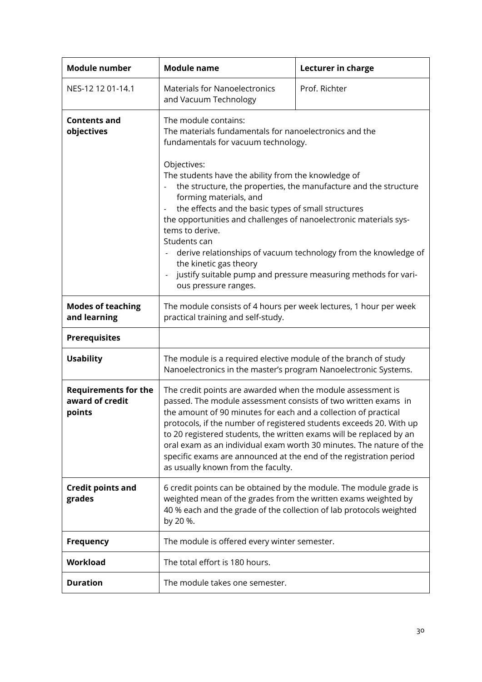<span id="page-29-1"></span><span id="page-29-0"></span>

| <b>Module number</b>                                     | <b>Module name</b>                                                                                                                                                                                                                                                                                                                                                                                                                                                                                                                       | Lecturer in charge |
|----------------------------------------------------------|------------------------------------------------------------------------------------------------------------------------------------------------------------------------------------------------------------------------------------------------------------------------------------------------------------------------------------------------------------------------------------------------------------------------------------------------------------------------------------------------------------------------------------------|--------------------|
| NES-12 12 01-14.1                                        | <b>Materials for Nanoelectronics</b><br>and Vacuum Technology                                                                                                                                                                                                                                                                                                                                                                                                                                                                            | Prof. Richter      |
| <b>Contents and</b><br>objectives                        | The module contains:<br>The materials fundamentals for nanoelectronics and the<br>fundamentals for vacuum technology.                                                                                                                                                                                                                                                                                                                                                                                                                    |                    |
|                                                          | Objectives:<br>The students have the ability from the knowledge of<br>the structure, the properties, the manufacture and the structure<br>forming materials, and<br>the effects and the basic types of small structures<br>the opportunities and challenges of nanoelectronic materials sys-<br>tems to derive.<br>Students can<br>derive relationships of vacuum technology from the knowledge of<br>$\blacksquare$<br>the kinetic gas theory<br>justify suitable pump and pressure measuring methods for vari-<br>ous pressure ranges. |                    |
| <b>Modes of teaching</b><br>and learning                 | The module consists of 4 hours per week lectures, 1 hour per week<br>practical training and self-study.                                                                                                                                                                                                                                                                                                                                                                                                                                  |                    |
| <b>Prerequisites</b>                                     |                                                                                                                                                                                                                                                                                                                                                                                                                                                                                                                                          |                    |
| <b>Usability</b>                                         | The module is a required elective module of the branch of study<br>Nanoelectronics in the master's program Nanoelectronic Systems.                                                                                                                                                                                                                                                                                                                                                                                                       |                    |
| <b>Requirements for the</b><br>award of credit<br>points | The credit points are awarded when the module assessment is<br>passed. The module assessment consists of two written exams in<br>the amount of 90 minutes for each and a collection of practical<br>protocols, if the number of registered students exceeds 20. With up<br>to 20 registered students, the written exams will be replaced by an<br>oral exam as an individual exam worth 30 minutes. The nature of the<br>specific exams are announced at the end of the registration period<br>as usually known from the faculty.        |                    |
| <b>Credit points and</b><br>grades                       | 6 credit points can be obtained by the module. The module grade is<br>weighted mean of the grades from the written exams weighted by<br>40 % each and the grade of the collection of lab protocols weighted<br>by 20 %.                                                                                                                                                                                                                                                                                                                  |                    |
| <b>Frequency</b>                                         | The module is offered every winter semester.                                                                                                                                                                                                                                                                                                                                                                                                                                                                                             |                    |
| Workload                                                 | The total effort is 180 hours.                                                                                                                                                                                                                                                                                                                                                                                                                                                                                                           |                    |
| <b>Duration</b>                                          | The module takes one semester.                                                                                                                                                                                                                                                                                                                                                                                                                                                                                                           |                    |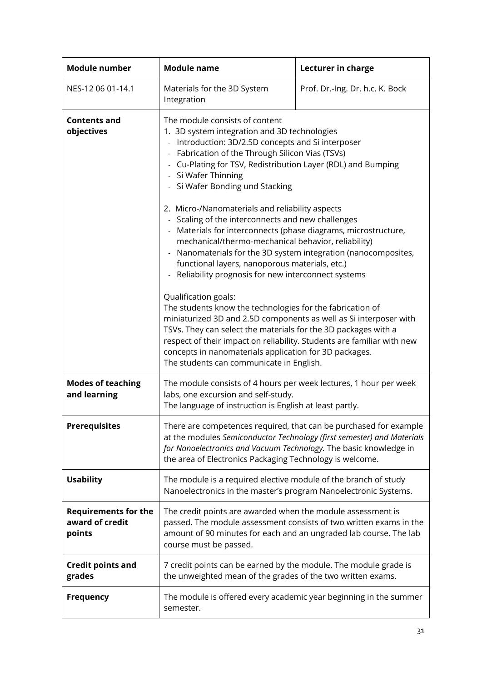<span id="page-30-1"></span><span id="page-30-0"></span>

| <b>Module number</b>                                     | <b>Module name</b>                                                                                                                                                                                                                                                                                                                                                                                                                                                                                                                                                                                                                                                                                                                                                                                                                                                                                            | Lecturer in charge              |
|----------------------------------------------------------|---------------------------------------------------------------------------------------------------------------------------------------------------------------------------------------------------------------------------------------------------------------------------------------------------------------------------------------------------------------------------------------------------------------------------------------------------------------------------------------------------------------------------------------------------------------------------------------------------------------------------------------------------------------------------------------------------------------------------------------------------------------------------------------------------------------------------------------------------------------------------------------------------------------|---------------------------------|
| NES-12 06 01-14.1                                        | Materials for the 3D System<br>Integration                                                                                                                                                                                                                                                                                                                                                                                                                                                                                                                                                                                                                                                                                                                                                                                                                                                                    | Prof. Dr.-Ing. Dr. h.c. K. Bock |
| <b>Contents and</b><br>objectives                        | The module consists of content<br>1. 3D system integration and 3D technologies<br>Introduction: 3D/2.5D concepts and Si interposer<br>Fabrication of the Through Silicon Vias (TSVs)<br>- Cu-Plating for TSV, Redistribution Layer (RDL) and Bumping<br>- Si Wafer Thinning<br>- Si Wafer Bonding und Stacking<br>2. Micro-/Nanomaterials and reliability aspects<br>Scaling of the interconnects and new challenges<br>Materials for interconnects (phase diagrams, microstructure,<br>mechanical/thermo-mechanical behavior, reliability)<br>Nanomaterials for the 3D system integration (nanocomposites,<br>$\qquad \qquad \blacksquare$<br>functional layers, nanoporous materials, etc.)<br>Reliability prognosis for new interconnect systems<br>Qualification goals:<br>The students know the technologies for the fabrication of<br>miniaturized 3D and 2.5D components as well as Si interposer with |                                 |
|                                                          | TSVs. They can select the materials for the 3D packages with a<br>respect of their impact on reliability. Students are familiar with new<br>concepts in nanomaterials application for 3D packages.<br>The students can communicate in English.                                                                                                                                                                                                                                                                                                                                                                                                                                                                                                                                                                                                                                                                |                                 |
| <b>Modes of teaching</b><br>and learning                 | The module consists of 4 hours per week lectures, 1 hour per week<br>labs, one excursion and self-study.<br>The language of instruction is English at least partly.                                                                                                                                                                                                                                                                                                                                                                                                                                                                                                                                                                                                                                                                                                                                           |                                 |
| <b>Prerequisites</b>                                     | There are competences required, that can be purchased for example<br>at the modules Semiconductor Technology (first semester) and Materials<br>for Nanoelectronics and Vacuum Technology. The basic knowledge in<br>the area of Electronics Packaging Technology is welcome.                                                                                                                                                                                                                                                                                                                                                                                                                                                                                                                                                                                                                                  |                                 |
| <b>Usability</b>                                         | The module is a required elective module of the branch of study<br>Nanoelectronics in the master's program Nanoelectronic Systems.                                                                                                                                                                                                                                                                                                                                                                                                                                                                                                                                                                                                                                                                                                                                                                            |                                 |
| <b>Requirements for the</b><br>award of credit<br>points | The credit points are awarded when the module assessment is<br>passed. The module assessment consists of two written exams in the<br>amount of 90 minutes for each and an ungraded lab course. The lab<br>course must be passed.                                                                                                                                                                                                                                                                                                                                                                                                                                                                                                                                                                                                                                                                              |                                 |
| <b>Credit points and</b><br>grades                       | 7 credit points can be earned by the module. The module grade is<br>the unweighted mean of the grades of the two written exams.                                                                                                                                                                                                                                                                                                                                                                                                                                                                                                                                                                                                                                                                                                                                                                               |                                 |
| <b>Frequency</b>                                         | The module is offered every academic year beginning in the summer<br>semester.                                                                                                                                                                                                                                                                                                                                                                                                                                                                                                                                                                                                                                                                                                                                                                                                                                |                                 |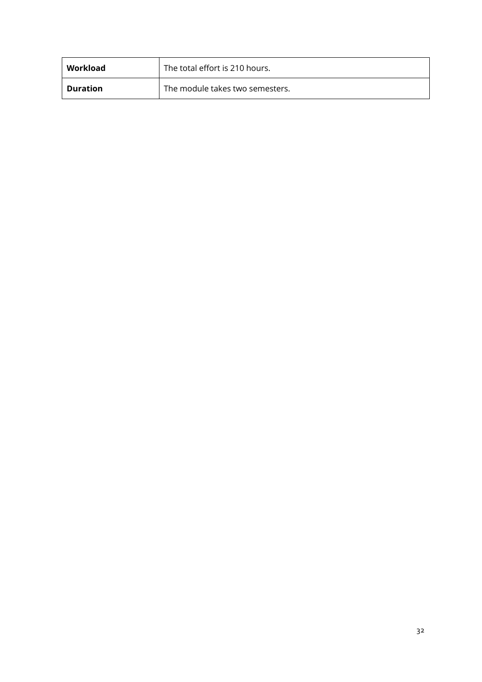| Workload | The total effort is 210 hours.  |
|----------|---------------------------------|
| Duration | The module takes two semesters. |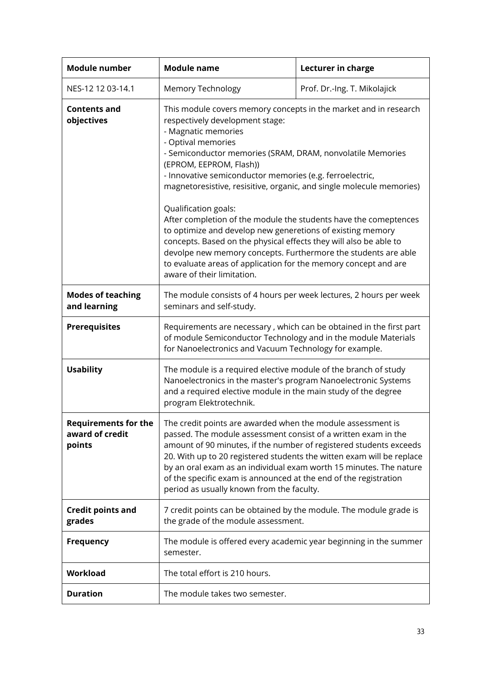<span id="page-32-1"></span><span id="page-32-0"></span>

| <b>Module number</b>                                     | <b>Module name</b>                                                                                                                                                                                                                                                                                                                                                                                                                                                                                                                                                                                                                                                                                                                                                              | Lecturer in charge           |
|----------------------------------------------------------|---------------------------------------------------------------------------------------------------------------------------------------------------------------------------------------------------------------------------------------------------------------------------------------------------------------------------------------------------------------------------------------------------------------------------------------------------------------------------------------------------------------------------------------------------------------------------------------------------------------------------------------------------------------------------------------------------------------------------------------------------------------------------------|------------------------------|
| NES-12 12 03-14.1                                        | Memory Technology                                                                                                                                                                                                                                                                                                                                                                                                                                                                                                                                                                                                                                                                                                                                                               | Prof. Dr.-Ing. T. Mikolajick |
| <b>Contents and</b><br>objectives                        | This module covers memory concepts in the market and in research<br>respectively development stage:<br>- Magnatic memories<br>- Optival memories<br>- Semiconductor memories (SRAM, DRAM, nonvolatile Memories<br>(EPROM, EEPROM, Flash))<br>- Innovative semiconductor memories (e.g. ferroelectric,<br>magnetoresistive, resisitive, organic, and single molecule memories)<br>Qualification goals:<br>After completion of the module the students have the comeptences<br>to optimize and develop new generetions of existing memory<br>concepts. Based on the physical effects they will also be able to<br>devolpe new memory concepts. Furthermore the students are able<br>to evaluate areas of application for the memory concept and are<br>aware of their limitation. |                              |
| <b>Modes of teaching</b><br>and learning                 | The module consists of 4 hours per week lectures, 2 hours per week<br>seminars and self-study.                                                                                                                                                                                                                                                                                                                                                                                                                                                                                                                                                                                                                                                                                  |                              |
| <b>Prerequisites</b>                                     | Requirements are necessary, which can be obtained in the first part<br>of module Semiconductor Technology and in the module Materials<br>for Nanoelectronics and Vacuum Technology for example.                                                                                                                                                                                                                                                                                                                                                                                                                                                                                                                                                                                 |                              |
| <b>Usability</b>                                         | The module is a required elective module of the branch of study<br>Nanoelectronics in the master's program Nanoelectronic Systems<br>and a required elective module in the main study of the degree<br>program Elektrotechnik.                                                                                                                                                                                                                                                                                                                                                                                                                                                                                                                                                  |                              |
| <b>Requirements for the</b><br>award of credit<br>points | The credit points are awarded when the module assessment is<br>passed. The module assessment consist of a written exam in the<br>amount of 90 minutes, if the number of registered students exceeds<br>20. With up to 20 registered students the witten exam will be replace<br>by an oral exam as an individual exam worth 15 minutes. The nature<br>of the specific exam is announced at the end of the registration<br>period as usually known from the faculty.                                                                                                                                                                                                                                                                                                             |                              |
| <b>Credit points and</b><br>grades                       | 7 credit points can be obtained by the module. The module grade is<br>the grade of the module assessment.                                                                                                                                                                                                                                                                                                                                                                                                                                                                                                                                                                                                                                                                       |                              |
| <b>Frequency</b>                                         | The module is offered every academic year beginning in the summer<br>semester.                                                                                                                                                                                                                                                                                                                                                                                                                                                                                                                                                                                                                                                                                                  |                              |
| Workload                                                 | The total effort is 210 hours.                                                                                                                                                                                                                                                                                                                                                                                                                                                                                                                                                                                                                                                                                                                                                  |                              |
| <b>Duration</b>                                          | The module takes two semester.                                                                                                                                                                                                                                                                                                                                                                                                                                                                                                                                                                                                                                                                                                                                                  |                              |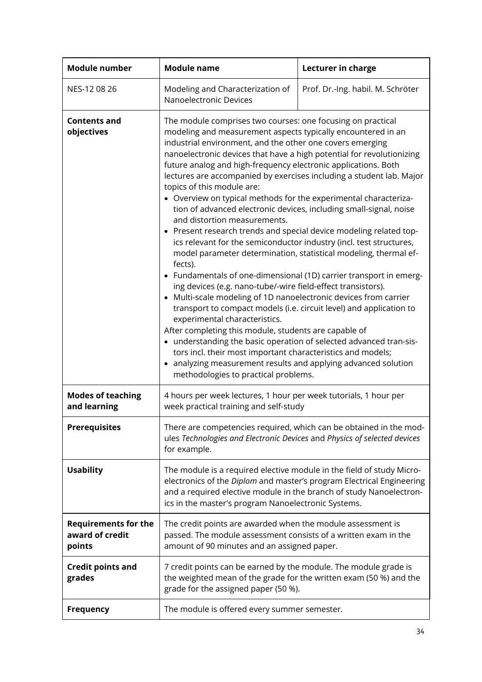<span id="page-33-1"></span><span id="page-33-0"></span>

| <b>Module number</b>                                     | <b>Module name</b>                                                                                                                                                                                                                                                                                                                                                                                                                                                                                                                                                                                                                                                                                                                                                                                                                                                                                                                                                                                                                                                                                                                                                                                                                                                                                                                                                                                                                                                      | Lecturer in charge                |
|----------------------------------------------------------|-------------------------------------------------------------------------------------------------------------------------------------------------------------------------------------------------------------------------------------------------------------------------------------------------------------------------------------------------------------------------------------------------------------------------------------------------------------------------------------------------------------------------------------------------------------------------------------------------------------------------------------------------------------------------------------------------------------------------------------------------------------------------------------------------------------------------------------------------------------------------------------------------------------------------------------------------------------------------------------------------------------------------------------------------------------------------------------------------------------------------------------------------------------------------------------------------------------------------------------------------------------------------------------------------------------------------------------------------------------------------------------------------------------------------------------------------------------------------|-----------------------------------|
| NES-12 08 26                                             | Modeling and Characterization of<br>Nanoelectronic Devices                                                                                                                                                                                                                                                                                                                                                                                                                                                                                                                                                                                                                                                                                                                                                                                                                                                                                                                                                                                                                                                                                                                                                                                                                                                                                                                                                                                                              | Prof. Dr.-Ing. habil. M. Schröter |
| <b>Contents and</b><br>objectives                        | The module comprises two courses: one focusing on practical<br>modeling and measurement aspects typically encountered in an<br>industrial environment, and the other one covers emerging<br>nanoelectronic devices that have a high potential for revolutionizing<br>future analog and high-frequency electronic applications. Both<br>lectures are accompanied by exercises including a student lab. Major<br>topics of this module are:<br>• Overview on typical methods for the experimental characteriza-<br>tion of advanced electronic devices, including small-signal, noise<br>and distortion measurements.<br>• Present research trends and special device modeling related top-<br>ics relevant for the semiconductor industry (incl. test structures,<br>model parameter determination, statistical modeling, thermal ef-<br>fects).<br>• Fundamentals of one-dimensional (1D) carrier transport in emerg-<br>ing devices (e.g. nano-tube/-wire field-effect transistors).<br>• Multi-scale modeling of 1D nanoelectronic devices from carrier<br>transport to compact models (i.e. circuit level) and application to<br>experimental characteristics.<br>After completing this module, students are capable of<br>• understanding the basic operation of selected advanced tran-sis-<br>tors incl. their most important characteristics and models;<br>analyzing measurement results and applying advanced solution<br>methodologies to practical problems. |                                   |
| <b>Modes of teaching</b><br>and learning                 | 4 hours per week lectures, 1 hour per week tutorials, 1 hour per<br>week practical training and self-study                                                                                                                                                                                                                                                                                                                                                                                                                                                                                                                                                                                                                                                                                                                                                                                                                                                                                                                                                                                                                                                                                                                                                                                                                                                                                                                                                              |                                   |
| <b>Prerequisites</b>                                     | There are competencies required, which can be obtained in the mod-<br>ules Technologies and Electronic Devices and Physics of selected devices<br>for example.                                                                                                                                                                                                                                                                                                                                                                                                                                                                                                                                                                                                                                                                                                                                                                                                                                                                                                                                                                                                                                                                                                                                                                                                                                                                                                          |                                   |
| <b>Usability</b>                                         | The module is a required elective module in the field of study Micro-<br>electronics of the Diplom and master's program Electrical Engineering<br>and a required elective module in the branch of study Nanoelectron-<br>ics in the master's program Nanoelectronic Systems.                                                                                                                                                                                                                                                                                                                                                                                                                                                                                                                                                                                                                                                                                                                                                                                                                                                                                                                                                                                                                                                                                                                                                                                            |                                   |
| <b>Requirements for the</b><br>award of credit<br>points | The credit points are awarded when the module assessment is<br>passed. The module assessment consists of a written exam in the<br>amount of 90 minutes and an assigned paper.                                                                                                                                                                                                                                                                                                                                                                                                                                                                                                                                                                                                                                                                                                                                                                                                                                                                                                                                                                                                                                                                                                                                                                                                                                                                                           |                                   |
| <b>Credit points and</b><br>grades                       | 7 credit points can be earned by the module. The module grade is<br>the weighted mean of the grade for the written exam (50 %) and the<br>grade for the assigned paper (50 %).                                                                                                                                                                                                                                                                                                                                                                                                                                                                                                                                                                                                                                                                                                                                                                                                                                                                                                                                                                                                                                                                                                                                                                                                                                                                                          |                                   |
| <b>Frequency</b>                                         | The module is offered every summer semester.                                                                                                                                                                                                                                                                                                                                                                                                                                                                                                                                                                                                                                                                                                                                                                                                                                                                                                                                                                                                                                                                                                                                                                                                                                                                                                                                                                                                                            |                                   |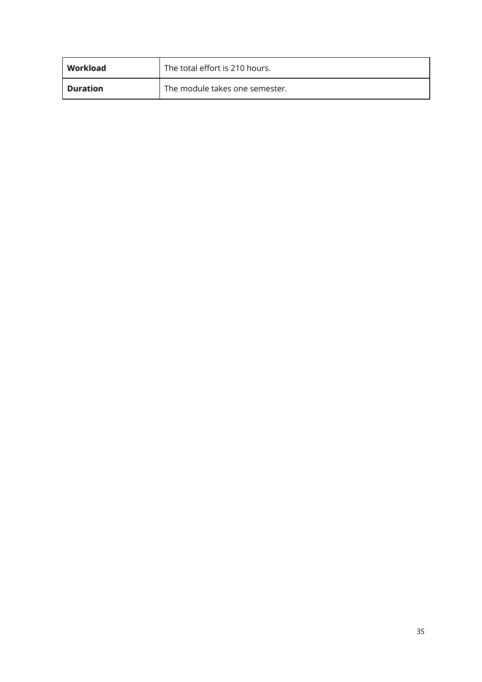| Workload        | The total effort is 210 hours. |
|-----------------|--------------------------------|
| <b>Duration</b> | The module takes one semester. |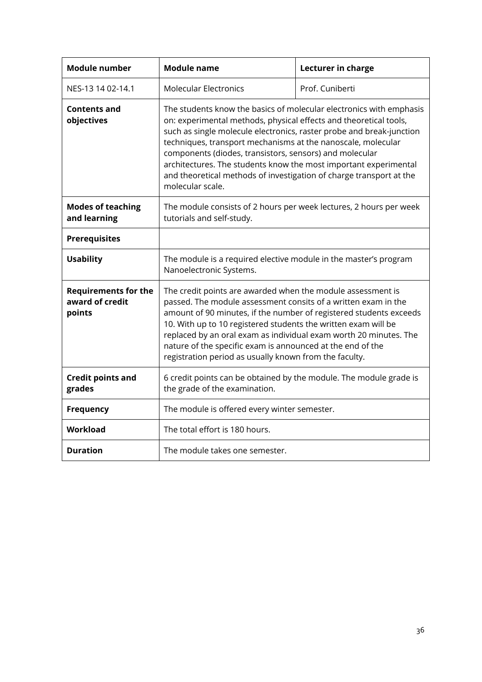<span id="page-35-1"></span><span id="page-35-0"></span>

| <b>Module number</b>                                     | <b>Module name</b>                                                                                                                                                                                                                                                                                                                                                                                                                                                                                         | Lecturer in charge |
|----------------------------------------------------------|------------------------------------------------------------------------------------------------------------------------------------------------------------------------------------------------------------------------------------------------------------------------------------------------------------------------------------------------------------------------------------------------------------------------------------------------------------------------------------------------------------|--------------------|
| NES-13 14 02-14.1                                        | <b>Molecular Electronics</b>                                                                                                                                                                                                                                                                                                                                                                                                                                                                               | Prof. Cuniberti    |
| <b>Contents and</b><br>objectives                        | The students know the basics of molecular electronics with emphasis<br>on: experimental methods, physical effects and theoretical tools,<br>such as single molecule electronics, raster probe and break-junction<br>techniques, transport mechanisms at the nanoscale, molecular<br>components (diodes, transistors, sensors) and molecular<br>architectures. The students know the most important experimental<br>and theoretical methods of investigation of charge transport at the<br>molecular scale. |                    |
| <b>Modes of teaching</b><br>and learning                 | The module consists of 2 hours per week lectures, 2 hours per week<br>tutorials and self-study.                                                                                                                                                                                                                                                                                                                                                                                                            |                    |
| <b>Prerequisites</b>                                     |                                                                                                                                                                                                                                                                                                                                                                                                                                                                                                            |                    |
| <b>Usability</b>                                         | The module is a required elective module in the master's program<br>Nanoelectronic Systems.                                                                                                                                                                                                                                                                                                                                                                                                                |                    |
| <b>Requirements for the</b><br>award of credit<br>points | The credit points are awarded when the module assessment is<br>passed. The module assessment consits of a written exam in the<br>amount of 90 minutes, if the number of registered students exceeds<br>10. With up to 10 registered students the written exam will be<br>replaced by an oral exam as individual exam worth 20 minutes. The<br>nature of the specific exam is announced at the end of the<br>registration period as usually known from the faculty.                                         |                    |
| <b>Credit points and</b><br>grades                       | 6 credit points can be obtained by the module. The module grade is<br>the grade of the examination.                                                                                                                                                                                                                                                                                                                                                                                                        |                    |
| <b>Frequency</b>                                         | The module is offered every winter semester.                                                                                                                                                                                                                                                                                                                                                                                                                                                               |                    |
| <b>Workload</b>                                          | The total effort is 180 hours.                                                                                                                                                                                                                                                                                                                                                                                                                                                                             |                    |
| <b>Duration</b>                                          | The module takes one semester.                                                                                                                                                                                                                                                                                                                                                                                                                                                                             |                    |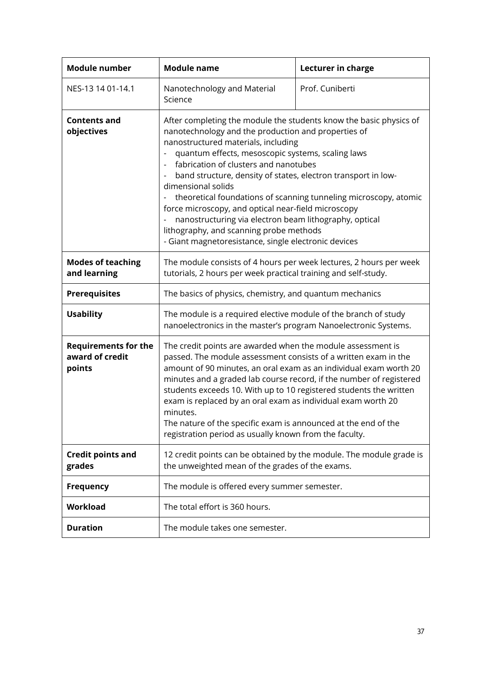<span id="page-36-1"></span><span id="page-36-0"></span>

| <b>Module number</b>                                     | <b>Module name</b>                                                                                                                                                                                                                                                                                                                                                                                                                                                                                                                                                                                                                            | Lecturer in charge |
|----------------------------------------------------------|-----------------------------------------------------------------------------------------------------------------------------------------------------------------------------------------------------------------------------------------------------------------------------------------------------------------------------------------------------------------------------------------------------------------------------------------------------------------------------------------------------------------------------------------------------------------------------------------------------------------------------------------------|--------------------|
| NES-13 14 01-14.1                                        | Nanotechnology and Material<br>Science                                                                                                                                                                                                                                                                                                                                                                                                                                                                                                                                                                                                        | Prof. Cuniberti    |
| <b>Contents and</b><br>objectives                        | After completing the module the students know the basic physics of<br>nanotechnology and the production and properties of<br>nanostructured materials, including<br>quantum effects, mesoscopic systems, scaling laws<br>fabrication of clusters and nanotubes<br>band structure, density of states, electron transport in low-<br>dimensional solids<br>theoretical foundations of scanning tunneling microscopy, atomic<br>force microscopy, and optical near-field microscopy<br>nanostructuring via electron beam lithography, optical<br>lithography, and scanning probe methods<br>- Giant magnetoresistance, single electronic devices |                    |
| <b>Modes of teaching</b><br>and learning                 | The module consists of 4 hours per week lectures, 2 hours per week<br>tutorials, 2 hours per week practical training and self-study.                                                                                                                                                                                                                                                                                                                                                                                                                                                                                                          |                    |
| <b>Prerequisites</b>                                     | The basics of physics, chemistry, and quantum mechanics                                                                                                                                                                                                                                                                                                                                                                                                                                                                                                                                                                                       |                    |
| <b>Usability</b>                                         | The module is a required elective module of the branch of study<br>nanoelectronics in the master's program Nanoelectronic Systems.                                                                                                                                                                                                                                                                                                                                                                                                                                                                                                            |                    |
| <b>Requirements for the</b><br>award of credit<br>points | The credit points are awarded when the module assessment is<br>passed. The module assessment consists of a written exam in the<br>amount of 90 minutes, an oral exam as an individual exam worth 20<br>minutes and a graded lab course record, if the number of registered<br>students exceeds 10. With up to 10 registered students the written<br>exam is replaced by an oral exam as individual exam worth 20<br>minutes.<br>The nature of the specific exam is announced at the end of the<br>registration period as usually known from the faculty.                                                                                      |                    |
| <b>Credit points and</b><br>grades                       | 12 credit points can be obtained by the module. The module grade is<br>the unweighted mean of the grades of the exams.                                                                                                                                                                                                                                                                                                                                                                                                                                                                                                                        |                    |
| <b>Frequency</b>                                         | The module is offered every summer semester.                                                                                                                                                                                                                                                                                                                                                                                                                                                                                                                                                                                                  |                    |
| Workload                                                 | The total effort is 360 hours.                                                                                                                                                                                                                                                                                                                                                                                                                                                                                                                                                                                                                |                    |
| <b>Duration</b>                                          | The module takes one semester.                                                                                                                                                                                                                                                                                                                                                                                                                                                                                                                                                                                                                |                    |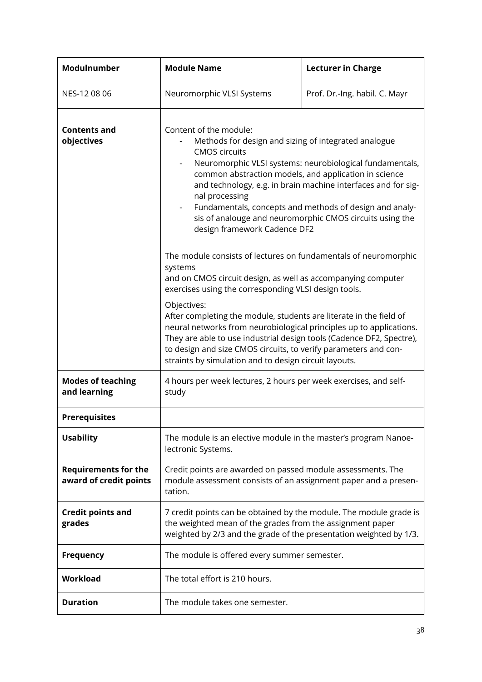<span id="page-37-1"></span><span id="page-37-0"></span>

| Modulnumber                                           | <b>Module Name</b>                                                                                                                                                                                                                                                                                                                                                                                                                                                                                                                       | <b>Lecturer in Charge</b> |  |  |
|-------------------------------------------------------|------------------------------------------------------------------------------------------------------------------------------------------------------------------------------------------------------------------------------------------------------------------------------------------------------------------------------------------------------------------------------------------------------------------------------------------------------------------------------------------------------------------------------------------|---------------------------|--|--|
| NES-12 08 06                                          | Neuromorphic VLSI Systems<br>Prof. Dr.-Ing. habil. C. Mayr                                                                                                                                                                                                                                                                                                                                                                                                                                                                               |                           |  |  |
| <b>Contents and</b><br>objectives                     | Content of the module:<br>Methods for design and sizing of integrated analogue<br><b>CMOS circuits</b><br>Neuromorphic VLSI systems: neurobiological fundamentals,<br>common abstraction models, and application in science<br>and technology, e.g. in brain machine interfaces and for sig-<br>nal processing<br>Fundamentals, concepts and methods of design and analy-<br>sis of analouge and neuromorphic CMOS circuits using the<br>design framework Cadence DF2<br>The module consists of lectures on fundamentals of neuromorphic |                           |  |  |
|                                                       | systems<br>and on CMOS circuit design, as well as accompanying computer<br>exercises using the corresponding VLSI design tools.<br>Objectives:<br>After completing the module, students are literate in the field of<br>neural networks from neurobiological principles up to applications.<br>They are able to use industrial design tools (Cadence DF2, Spectre),<br>to design and size CMOS circuits, to verify parameters and con-<br>straints by simulation and to design circuit layouts.                                          |                           |  |  |
| <b>Modes of teaching</b><br>and learning              | 4 hours per week lectures, 2 hours per week exercises, and self-<br>study                                                                                                                                                                                                                                                                                                                                                                                                                                                                |                           |  |  |
| <b>Prerequisites</b>                                  |                                                                                                                                                                                                                                                                                                                                                                                                                                                                                                                                          |                           |  |  |
| <b>Usability</b>                                      | The module is an elective module in the master's program Nanoe-<br>lectronic Systems.                                                                                                                                                                                                                                                                                                                                                                                                                                                    |                           |  |  |
| <b>Requirements for the</b><br>award of credit points | Credit points are awarded on passed module assessments. The<br>module assessment consists of an assignment paper and a presen-<br>tation.                                                                                                                                                                                                                                                                                                                                                                                                |                           |  |  |
| <b>Credit points and</b><br>grades                    | 7 credit points can be obtained by the module. The module grade is<br>the weighted mean of the grades from the assignment paper<br>weighted by 2/3 and the grade of the presentation weighted by 1/3.                                                                                                                                                                                                                                                                                                                                    |                           |  |  |
| <b>Frequency</b>                                      | The module is offered every summer semester.                                                                                                                                                                                                                                                                                                                                                                                                                                                                                             |                           |  |  |
| Workload                                              | The total effort is 210 hours.                                                                                                                                                                                                                                                                                                                                                                                                                                                                                                           |                           |  |  |
| <b>Duration</b>                                       | The module takes one semester.                                                                                                                                                                                                                                                                                                                                                                                                                                                                                                           |                           |  |  |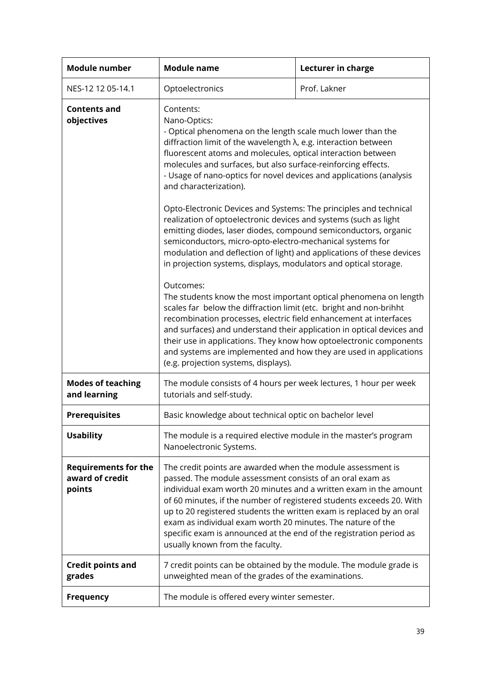<span id="page-38-1"></span><span id="page-38-0"></span>

| <b>Module number</b>                                     | <b>Module name</b>                                                                                                                                                                                                                                                                                                                                                                                                                                                                                                                                                                                                                                                                                                                                                                                                                                                                                                                                                                                                                                                                                                                                                                             | Lecturer in charge |  |  |
|----------------------------------------------------------|------------------------------------------------------------------------------------------------------------------------------------------------------------------------------------------------------------------------------------------------------------------------------------------------------------------------------------------------------------------------------------------------------------------------------------------------------------------------------------------------------------------------------------------------------------------------------------------------------------------------------------------------------------------------------------------------------------------------------------------------------------------------------------------------------------------------------------------------------------------------------------------------------------------------------------------------------------------------------------------------------------------------------------------------------------------------------------------------------------------------------------------------------------------------------------------------|--------------------|--|--|
| NES-12 12 05-14.1                                        | Optoelectronics                                                                                                                                                                                                                                                                                                                                                                                                                                                                                                                                                                                                                                                                                                                                                                                                                                                                                                                                                                                                                                                                                                                                                                                | Prof. Lakner       |  |  |
| <b>Contents and</b><br>objectives                        | Contents:<br>Nano-Optics:<br>- Optical phenomena on the length scale much lower than the<br>diffraction limit of the wavelength λ, e.g. interaction between<br>fluorescent atoms and molecules, optical interaction between<br>molecules and surfaces, but also surface-reinforcing effects.<br>- Usage of nano-optics for novel devices and applications (analysis<br>and characterization).<br>Opto-Electronic Devices and Systems: The principles and technical<br>realization of optoelectronic devices and systems (such as light<br>emitting diodes, laser diodes, compound semiconductors, organic<br>semiconductors, micro-opto-electro-mechanical systems for<br>modulation and deflection of light) and applications of these devices<br>in projection systems, displays, modulators and optical storage.<br>Outcomes:<br>The students know the most important optical phenomena on length<br>scales far below the diffraction limit (etc. bright and non-brihht<br>recombination processes, electric field enhancement at interfaces<br>and surfaces) and understand their application in optical devices and<br>their use in applications. They know how optoelectronic components |                    |  |  |
|                                                          | and systems are implemented and how they are used in applications<br>(e.g. projection systems, displays).                                                                                                                                                                                                                                                                                                                                                                                                                                                                                                                                                                                                                                                                                                                                                                                                                                                                                                                                                                                                                                                                                      |                    |  |  |
| <b>Modes of teaching</b><br>and learning                 | The module consists of 4 hours per week lectures, 1 hour per week<br>tutorials and self-study.                                                                                                                                                                                                                                                                                                                                                                                                                                                                                                                                                                                                                                                                                                                                                                                                                                                                                                                                                                                                                                                                                                 |                    |  |  |
| <b>Prerequisites</b>                                     | Basic knowledge about technical optic on bachelor level                                                                                                                                                                                                                                                                                                                                                                                                                                                                                                                                                                                                                                                                                                                                                                                                                                                                                                                                                                                                                                                                                                                                        |                    |  |  |
| <b>Usability</b>                                         | The module is a required elective module in the master's program<br>Nanoelectronic Systems.                                                                                                                                                                                                                                                                                                                                                                                                                                                                                                                                                                                                                                                                                                                                                                                                                                                                                                                                                                                                                                                                                                    |                    |  |  |
| <b>Requirements for the</b><br>award of credit<br>points | The credit points are awarded when the module assessment is<br>passed. The module assessment consists of an oral exam as<br>individual exam worth 20 minutes and a written exam in the amount<br>of 60 minutes, if the number of registered students exceeds 20. With<br>up to 20 registered students the written exam is replaced by an oral<br>exam as individual exam worth 20 minutes. The nature of the<br>specific exam is announced at the end of the registration period as<br>usually known from the faculty.                                                                                                                                                                                                                                                                                                                                                                                                                                                                                                                                                                                                                                                                         |                    |  |  |
| <b>Credit points and</b><br>grades                       | 7 credit points can be obtained by the module. The module grade is<br>unweighted mean of the grades of the examinations.                                                                                                                                                                                                                                                                                                                                                                                                                                                                                                                                                                                                                                                                                                                                                                                                                                                                                                                                                                                                                                                                       |                    |  |  |
| <b>Frequency</b>                                         | The module is offered every winter semester.                                                                                                                                                                                                                                                                                                                                                                                                                                                                                                                                                                                                                                                                                                                                                                                                                                                                                                                                                                                                                                                                                                                                                   |                    |  |  |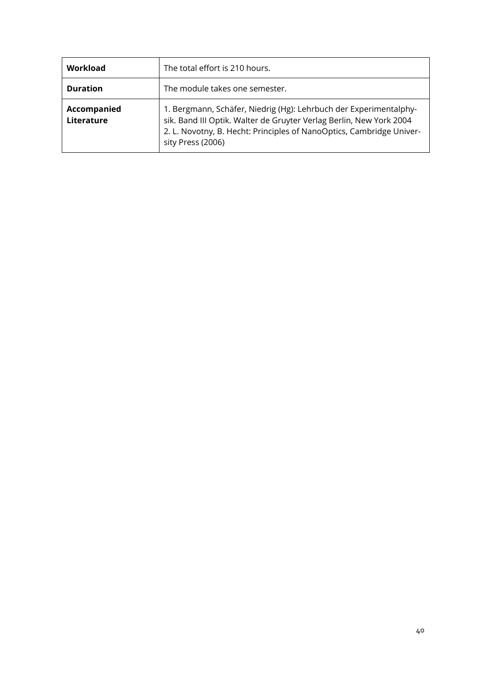| Workload                  | The total effort is 210 hours.                                                                                                                                                                                                        |
|---------------------------|---------------------------------------------------------------------------------------------------------------------------------------------------------------------------------------------------------------------------------------|
| <b>Duration</b>           | The module takes one semester.                                                                                                                                                                                                        |
| Accompanied<br>Literature | 1. Bergmann, Schäfer, Niedrig (Hg): Lehrbuch der Experimentalphy-<br>sik. Band III Optik. Walter de Gruyter Verlag Berlin, New York 2004<br>2. L. Novotny, B. Hecht: Principles of NanoOptics, Cambridge Univer-<br>sity Press (2006) |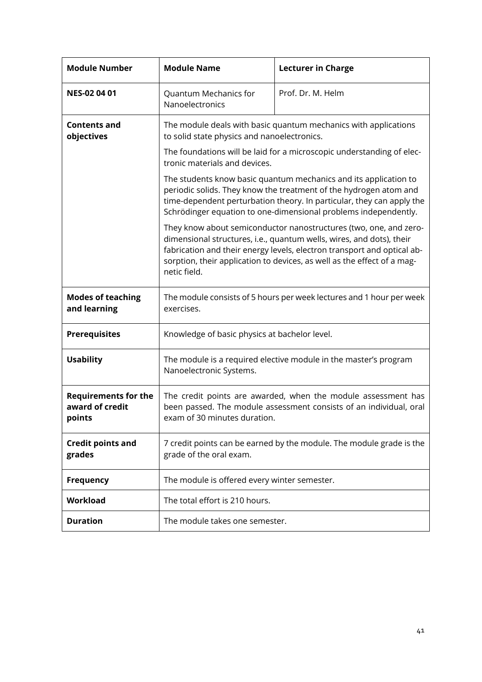<span id="page-40-1"></span><span id="page-40-0"></span>

| <b>Module Number</b>                                     | <b>Module Name</b>                                                                                                                                                                                                                                                                                              | <b>Lecturer in Charge</b>                                                                                                                                                                                                                                                         |  |  |  |  |
|----------------------------------------------------------|-----------------------------------------------------------------------------------------------------------------------------------------------------------------------------------------------------------------------------------------------------------------------------------------------------------------|-----------------------------------------------------------------------------------------------------------------------------------------------------------------------------------------------------------------------------------------------------------------------------------|--|--|--|--|
| <b>NES-02 04 01</b>                                      | Quantum Mechanics for<br>Nanoelectronics                                                                                                                                                                                                                                                                        | Prof. Dr. M. Helm                                                                                                                                                                                                                                                                 |  |  |  |  |
| <b>Contents and</b><br>objectives                        | The module deals with basic quantum mechanics with applications<br>to solid state physics and nanoelectronics.                                                                                                                                                                                                  |                                                                                                                                                                                                                                                                                   |  |  |  |  |
|                                                          | The foundations will be laid for a microscopic understanding of elec-<br>tronic materials and devices.                                                                                                                                                                                                          |                                                                                                                                                                                                                                                                                   |  |  |  |  |
|                                                          |                                                                                                                                                                                                                                                                                                                 | The students know basic quantum mechanics and its application to<br>periodic solids. They know the treatment of the hydrogen atom and<br>time-dependent perturbation theory. In particular, they can apply the<br>Schrödinger equation to one-dimensional problems independently. |  |  |  |  |
|                                                          | They know about semiconductor nanostructures (two, one, and zero-<br>dimensional structures, i.e., quantum wells, wires, and dots), their<br>fabrication and their energy levels, electron transport and optical ab-<br>sorption, their application to devices, as well as the effect of a mag-<br>netic field. |                                                                                                                                                                                                                                                                                   |  |  |  |  |
| <b>Modes of teaching</b><br>and learning                 | The module consists of 5 hours per week lectures and 1 hour per week<br>exercises.                                                                                                                                                                                                                              |                                                                                                                                                                                                                                                                                   |  |  |  |  |
| <b>Prerequisites</b>                                     | Knowledge of basic physics at bachelor level.                                                                                                                                                                                                                                                                   |                                                                                                                                                                                                                                                                                   |  |  |  |  |
| <b>Usability</b>                                         | The module is a required elective module in the master's program<br>Nanoelectronic Systems.                                                                                                                                                                                                                     |                                                                                                                                                                                                                                                                                   |  |  |  |  |
| <b>Requirements for the</b><br>award of credit<br>points | The credit points are awarded, when the module assessment has<br>been passed. The module assessment consists of an individual, oral<br>exam of 30 minutes duration.                                                                                                                                             |                                                                                                                                                                                                                                                                                   |  |  |  |  |
| <b>Credit points and</b><br>grades                       | 7 credit points can be earned by the module. The module grade is the<br>grade of the oral exam.                                                                                                                                                                                                                 |                                                                                                                                                                                                                                                                                   |  |  |  |  |
| <b>Frequency</b>                                         | The module is offered every winter semester.                                                                                                                                                                                                                                                                    |                                                                                                                                                                                                                                                                                   |  |  |  |  |
| Workload                                                 | The total effort is 210 hours.                                                                                                                                                                                                                                                                                  |                                                                                                                                                                                                                                                                                   |  |  |  |  |
| <b>Duration</b>                                          | The module takes one semester.                                                                                                                                                                                                                                                                                  |                                                                                                                                                                                                                                                                                   |  |  |  |  |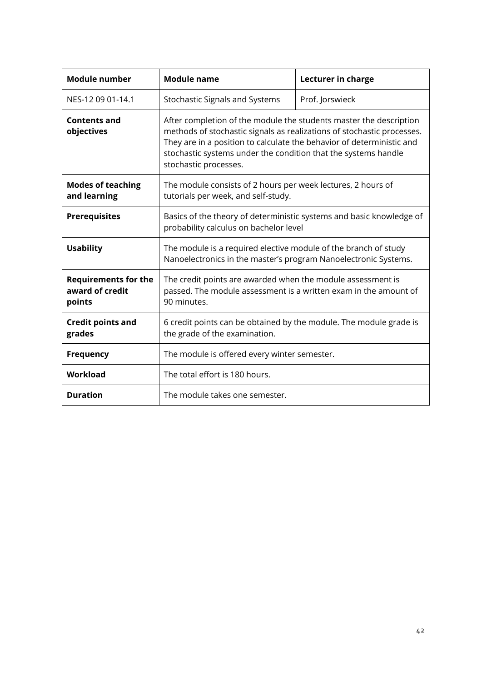<span id="page-41-1"></span><span id="page-41-0"></span>

| <b>Module number</b>                                     | <b>Module name</b>                                                                                                                                                                                                                                                                                               | Lecturer in charge |  |
|----------------------------------------------------------|------------------------------------------------------------------------------------------------------------------------------------------------------------------------------------------------------------------------------------------------------------------------------------------------------------------|--------------------|--|
| NES-12 09 01-14.1                                        | <b>Stochastic Signals and Systems</b>                                                                                                                                                                                                                                                                            | Prof. Jorswieck    |  |
| <b>Contents and</b><br>objectives                        | After completion of the module the students master the description<br>methods of stochastic signals as realizations of stochastic processes.<br>They are in a position to calculate the behavior of deterministic and<br>stochastic systems under the condition that the systems handle<br>stochastic processes. |                    |  |
| <b>Modes of teaching</b><br>and learning                 | The module consists of 2 hours per week lectures, 2 hours of<br>tutorials per week, and self-study.                                                                                                                                                                                                              |                    |  |
| <b>Prerequisites</b>                                     | Basics of the theory of deterministic systems and basic knowledge of<br>probability calculus on bachelor level                                                                                                                                                                                                   |                    |  |
| <b>Usability</b>                                         | The module is a required elective module of the branch of study<br>Nanoelectronics in the master's program Nanoelectronic Systems.                                                                                                                                                                               |                    |  |
| <b>Requirements for the</b><br>award of credit<br>points | The credit points are awarded when the module assessment is<br>passed. The module assessment is a written exam in the amount of<br>90 minutes.                                                                                                                                                                   |                    |  |
| <b>Credit points and</b><br>grades                       | 6 credit points can be obtained by the module. The module grade is<br>the grade of the examination.                                                                                                                                                                                                              |                    |  |
| <b>Frequency</b>                                         | The module is offered every winter semester.                                                                                                                                                                                                                                                                     |                    |  |
| Workload                                                 | The total effort is 180 hours.                                                                                                                                                                                                                                                                                   |                    |  |
| <b>Duration</b>                                          | The module takes one semester.                                                                                                                                                                                                                                                                                   |                    |  |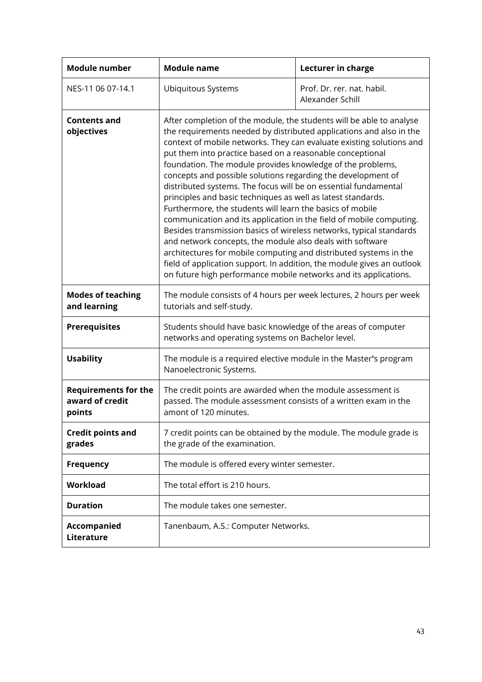<span id="page-42-1"></span><span id="page-42-0"></span>

| <b>Module number</b>                                     | <b>Module name</b>                                                                                                                                                                                                                                                                                                                                                                                                                                                                                                                                                                                                                                                                                                                                                                                                                                                                                                                                                                                                                           | Lecturer in charge                             |  |
|----------------------------------------------------------|----------------------------------------------------------------------------------------------------------------------------------------------------------------------------------------------------------------------------------------------------------------------------------------------------------------------------------------------------------------------------------------------------------------------------------------------------------------------------------------------------------------------------------------------------------------------------------------------------------------------------------------------------------------------------------------------------------------------------------------------------------------------------------------------------------------------------------------------------------------------------------------------------------------------------------------------------------------------------------------------------------------------------------------------|------------------------------------------------|--|
| NES-11 06 07-14.1                                        | Ubiquitous Systems                                                                                                                                                                                                                                                                                                                                                                                                                                                                                                                                                                                                                                                                                                                                                                                                                                                                                                                                                                                                                           | Prof. Dr. rer. nat. habil.<br>Alexander Schill |  |
| <b>Contents and</b><br>objectives                        | After completion of the module, the students will be able to analyse<br>the requirements needed by distributed applications and also in the<br>context of mobile networks. They can evaluate existing solutions and<br>put them into practice based on a reasonable conceptional<br>foundation. The module provides knowledge of the problems,<br>concepts and possible solutions regarding the development of<br>distributed systems. The focus will be on essential fundamental<br>principles and basic techniques as well as latest standards.<br>Furthermore, the students will learn the basics of mobile<br>communication and its application in the field of mobile computing.<br>Besides transmission basics of wireless networks, typical standards<br>and network concepts, the module also deals with software<br>architectures for mobile computing and distributed systems in the<br>field of application support. In addition, the module gives an outlook<br>on future high performance mobile networks and its applications. |                                                |  |
| <b>Modes of teaching</b><br>and learning                 | The module consists of 4 hours per week lectures, 2 hours per week<br>tutorials and self-study.                                                                                                                                                                                                                                                                                                                                                                                                                                                                                                                                                                                                                                                                                                                                                                                                                                                                                                                                              |                                                |  |
| <b>Prerequisites</b>                                     | Students should have basic knowledge of the areas of computer<br>networks and operating systems on Bachelor level.                                                                                                                                                                                                                                                                                                                                                                                                                                                                                                                                                                                                                                                                                                                                                                                                                                                                                                                           |                                                |  |
| <b>Usability</b>                                         | The module is a required elective module in the Master's program<br>Nanoelectronic Systems.                                                                                                                                                                                                                                                                                                                                                                                                                                                                                                                                                                                                                                                                                                                                                                                                                                                                                                                                                  |                                                |  |
| <b>Requirements for the</b><br>award of credit<br>points | The credit points are awarded when the module assessment is<br>passed. The module assessment consists of a written exam in the<br>amont of 120 minutes.                                                                                                                                                                                                                                                                                                                                                                                                                                                                                                                                                                                                                                                                                                                                                                                                                                                                                      |                                                |  |
| <b>Credit points and</b><br>grades                       | 7 credit points can be obtained by the module. The module grade is<br>the grade of the examination.                                                                                                                                                                                                                                                                                                                                                                                                                                                                                                                                                                                                                                                                                                                                                                                                                                                                                                                                          |                                                |  |
| <b>Frequency</b>                                         | The module is offered every winter semester.                                                                                                                                                                                                                                                                                                                                                                                                                                                                                                                                                                                                                                                                                                                                                                                                                                                                                                                                                                                                 |                                                |  |
| Workload                                                 | The total effort is 210 hours.                                                                                                                                                                                                                                                                                                                                                                                                                                                                                                                                                                                                                                                                                                                                                                                                                                                                                                                                                                                                               |                                                |  |
| <b>Duration</b>                                          | The module takes one semester.                                                                                                                                                                                                                                                                                                                                                                                                                                                                                                                                                                                                                                                                                                                                                                                                                                                                                                                                                                                                               |                                                |  |
| <b>Accompanied</b><br>Literature                         | Tanenbaum, A.S.: Computer Networks.                                                                                                                                                                                                                                                                                                                                                                                                                                                                                                                                                                                                                                                                                                                                                                                                                                                                                                                                                                                                          |                                                |  |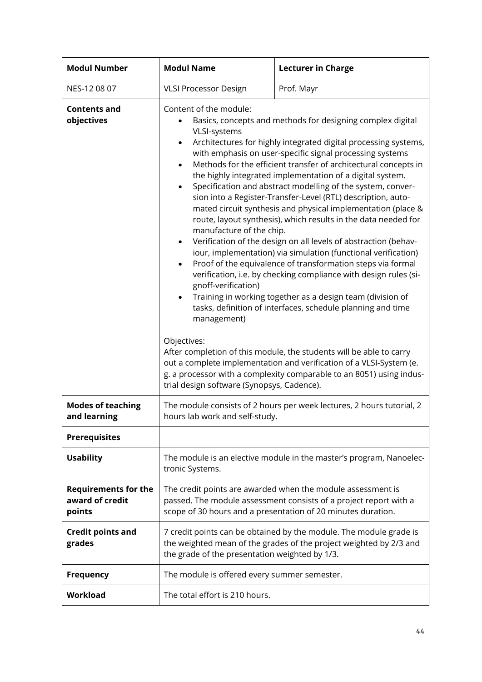<span id="page-43-1"></span><span id="page-43-0"></span>

| <b>Modul Number</b>                                      | <b>Modul Name</b>                                                                                                                                                                                                                                                                                                                                                                                                                                                                                                                                                                                                                                                                                                                                                                                                                                                                                                                                                                                                                                                                                                                                                                                                                                                                                                                                                                                                                                            | <b>Lecturer in Charge</b> |  |  |
|----------------------------------------------------------|--------------------------------------------------------------------------------------------------------------------------------------------------------------------------------------------------------------------------------------------------------------------------------------------------------------------------------------------------------------------------------------------------------------------------------------------------------------------------------------------------------------------------------------------------------------------------------------------------------------------------------------------------------------------------------------------------------------------------------------------------------------------------------------------------------------------------------------------------------------------------------------------------------------------------------------------------------------------------------------------------------------------------------------------------------------------------------------------------------------------------------------------------------------------------------------------------------------------------------------------------------------------------------------------------------------------------------------------------------------------------------------------------------------------------------------------------------------|---------------------------|--|--|
| NES-12 08 07                                             | Prof. Mayr<br><b>VLSI Processor Design</b>                                                                                                                                                                                                                                                                                                                                                                                                                                                                                                                                                                                                                                                                                                                                                                                                                                                                                                                                                                                                                                                                                                                                                                                                                                                                                                                                                                                                                   |                           |  |  |
| <b>Contents and</b><br>objectives                        | Content of the module:<br>Basics, concepts and methods for designing complex digital<br>VLSI-systems<br>Architectures for highly integrated digital processing systems,<br>$\bullet$<br>with emphasis on user-specific signal processing systems<br>Methods for the efficient transfer of architectural concepts in<br>$\bullet$<br>the highly integrated implementation of a digital system.<br>Specification and abstract modelling of the system, conver-<br>$\bullet$<br>sion into a Register-Transfer-Level (RTL) description, auto-<br>mated circuit synthesis and physical implementation (place &<br>route, layout synthesis), which results in the data needed for<br>manufacture of the chip.<br>Verification of the design on all levels of abstraction (behav-<br>٠<br>iour, implementation) via simulation (functional verification)<br>Proof of the equivalence of transformation steps via formal<br>$\bullet$<br>verification, i.e. by checking compliance with design rules (si-<br>gnoff-verification)<br>Training in working together as a design team (division of<br>٠<br>tasks, definition of interfaces, schedule planning and time<br>management)<br>Objectives:<br>After completion of this module, the students will be able to carry<br>out a complete implementation and verification of a VLSI-System (e.<br>g. a processor with a complexity comparable to an 8051) using indus-<br>trial design software (Synopsys, Cadence). |                           |  |  |
| <b>Modes of teaching</b><br>and learning                 | The module consists of 2 hours per week lectures, 2 hours tutorial, 2<br>hours lab work and self-study.                                                                                                                                                                                                                                                                                                                                                                                                                                                                                                                                                                                                                                                                                                                                                                                                                                                                                                                                                                                                                                                                                                                                                                                                                                                                                                                                                      |                           |  |  |
| <b>Prerequisites</b>                                     |                                                                                                                                                                                                                                                                                                                                                                                                                                                                                                                                                                                                                                                                                                                                                                                                                                                                                                                                                                                                                                                                                                                                                                                                                                                                                                                                                                                                                                                              |                           |  |  |
| <b>Usability</b>                                         | The module is an elective module in the master's program, Nanoelec-<br>tronic Systems.                                                                                                                                                                                                                                                                                                                                                                                                                                                                                                                                                                                                                                                                                                                                                                                                                                                                                                                                                                                                                                                                                                                                                                                                                                                                                                                                                                       |                           |  |  |
| <b>Requirements for the</b><br>award of credit<br>points | The credit points are awarded when the module assessment is<br>passed. The module assessment consists of a project report with a<br>scope of 30 hours and a presentation of 20 minutes duration.                                                                                                                                                                                                                                                                                                                                                                                                                                                                                                                                                                                                                                                                                                                                                                                                                                                                                                                                                                                                                                                                                                                                                                                                                                                             |                           |  |  |
| <b>Credit points and</b><br>grades                       | 7 credit points can be obtained by the module. The module grade is<br>the weighted mean of the grades of the project weighted by 2/3 and<br>the grade of the presentation weighted by 1/3.                                                                                                                                                                                                                                                                                                                                                                                                                                                                                                                                                                                                                                                                                                                                                                                                                                                                                                                                                                                                                                                                                                                                                                                                                                                                   |                           |  |  |
| <b>Frequency</b>                                         | The module is offered every summer semester.                                                                                                                                                                                                                                                                                                                                                                                                                                                                                                                                                                                                                                                                                                                                                                                                                                                                                                                                                                                                                                                                                                                                                                                                                                                                                                                                                                                                                 |                           |  |  |
| Workload                                                 | The total effort is 210 hours.                                                                                                                                                                                                                                                                                                                                                                                                                                                                                                                                                                                                                                                                                                                                                                                                                                                                                                                                                                                                                                                                                                                                                                                                                                                                                                                                                                                                                               |                           |  |  |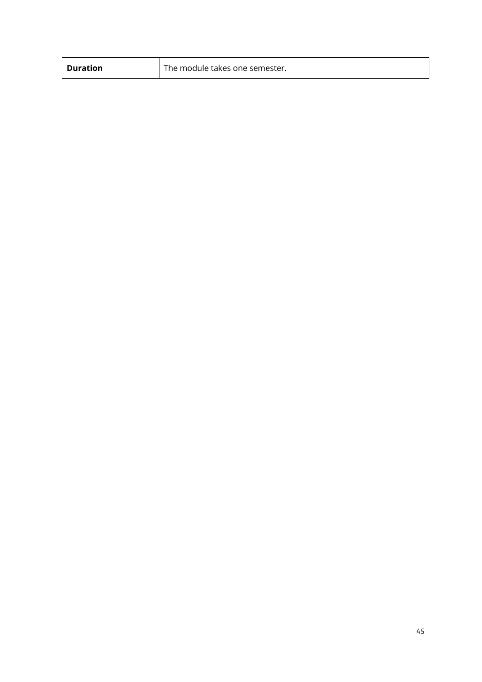| <b>Duration</b> | The module takes one semester. |
|-----------------|--------------------------------|
|-----------------|--------------------------------|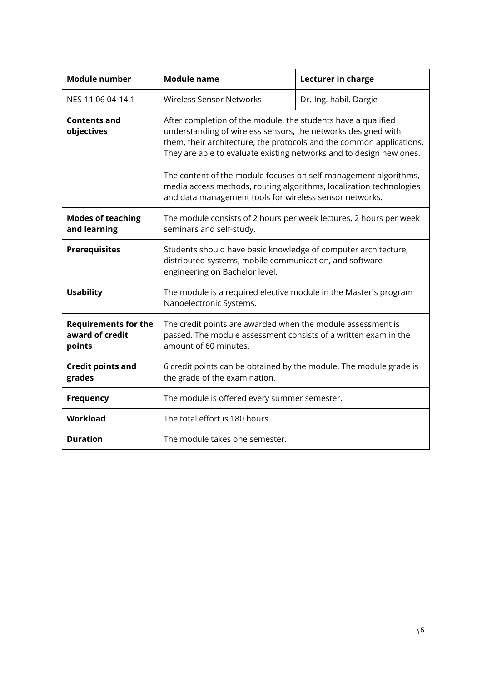<span id="page-45-1"></span><span id="page-45-0"></span>

| <b>Module number</b>                                     | <b>Module name</b>                                                                                                                                                                                                                                                                                                                                                                                                                                                                  | Lecturer in charge     |  |
|----------------------------------------------------------|-------------------------------------------------------------------------------------------------------------------------------------------------------------------------------------------------------------------------------------------------------------------------------------------------------------------------------------------------------------------------------------------------------------------------------------------------------------------------------------|------------------------|--|
| NES-11 06 04-14.1                                        | <b>Wireless Sensor Networks</b>                                                                                                                                                                                                                                                                                                                                                                                                                                                     | Dr.-Ing. habil. Dargie |  |
| <b>Contents and</b><br>objectives                        | After completion of the module, the students have a qualified<br>understanding of wireless sensors, the networks designed with<br>them, their architecture, the protocols and the common applications.<br>They are able to evaluate existing networks and to design new ones.<br>The content of the module focuses on self-management algorithms,<br>media access methods, routing algorithms, localization technologies<br>and data management tools for wireless sensor networks. |                        |  |
| <b>Modes of teaching</b><br>and learning                 | The module consists of 2 hours per week lectures, 2 hours per week<br>seminars and self-study.                                                                                                                                                                                                                                                                                                                                                                                      |                        |  |
| <b>Prerequisites</b>                                     | Students should have basic knowledge of computer architecture,<br>distributed systems, mobile communication, and software<br>engineering on Bachelor level.                                                                                                                                                                                                                                                                                                                         |                        |  |
| <b>Usability</b>                                         | The module is a required elective module in the Master's program<br>Nanoelectronic Systems.                                                                                                                                                                                                                                                                                                                                                                                         |                        |  |
| <b>Requirements for the</b><br>award of credit<br>points | The credit points are awarded when the module assessment is<br>passed. The module assessment consists of a written exam in the<br>amount of 60 minutes.                                                                                                                                                                                                                                                                                                                             |                        |  |
| <b>Credit points and</b><br>grades                       | 6 credit points can be obtained by the module. The module grade is<br>the grade of the examination.                                                                                                                                                                                                                                                                                                                                                                                 |                        |  |
| <b>Frequency</b>                                         | The module is offered every summer semester.                                                                                                                                                                                                                                                                                                                                                                                                                                        |                        |  |
| Workload                                                 | The total effort is 180 hours.                                                                                                                                                                                                                                                                                                                                                                                                                                                      |                        |  |
| <b>Duration</b>                                          | The module takes one semester.                                                                                                                                                                                                                                                                                                                                                                                                                                                      |                        |  |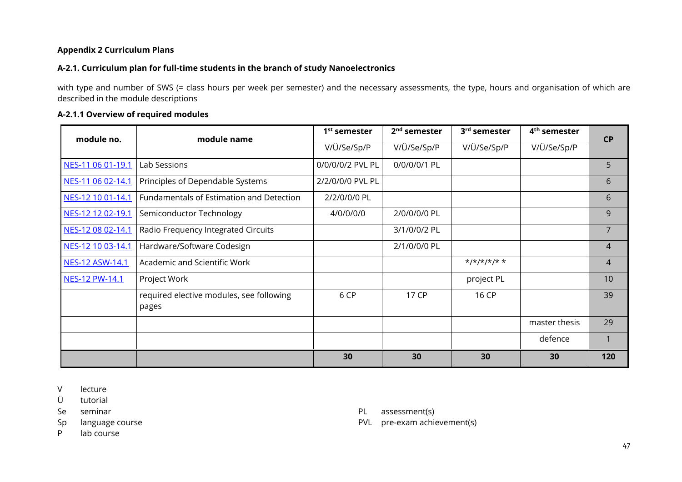#### **Appendix 2 Curriculum Plans**

#### **A-2.1. Curriculum plan for full-time students in the branch of study Nanoelectronics**

with type and number of SWS (= class hours per week per semester) and the necessary assessments, the type, hours and organisation of which are described in the module descriptions

#### **A-2.1.1 Overview of required modules**

<span id="page-46-0"></span>

| module no.        | module name                                       | 1 <sup>st</sup> semester | 2 <sup>nd</sup> semester | 3rd semester              | 4 <sup>th</sup> semester | <b>CP</b>      |  |
|-------------------|---------------------------------------------------|--------------------------|--------------------------|---------------------------|--------------------------|----------------|--|
|                   |                                                   | V/Ü/Se/Sp/P              | V/Ü/Se/Sp/P              | V/Ü/Se/Sp/P               | V/Ü/Se/Sp/P              |                |  |
| NES-11 06 01-19.1 | Lab Sessions                                      | 0/0/0/0/2 PVL PL         | 0/0/0/0/1 PL             |                           |                          | 5.             |  |
| NES-11 06 02-14.1 | Principles of Dependable Systems                  | 2/2/0/0/0 PVL PL         |                          |                           |                          | 6              |  |
| NES-12 10 01-14.1 | Fundamentals of Estimation and Detection          | 2/2/0/0/0 PL             |                          |                           |                          | 6              |  |
| NES-12 12 02-19.1 | Semiconductor Technology                          | 4/0/0/0/0                | 2/0/0/0/0 PL             |                           |                          | 9              |  |
| NES-12 08 02-14.1 | Radio Frequency Integrated Circuits               |                          | 3/1/0/0/2 PL             |                           |                          | $\overline{7}$ |  |
| NES-12 10 03-14.1 | Hardware/Software Codesign                        |                          | 2/1/0/0/0 PL             |                           |                          | $\overline{4}$ |  |
| NES-12 ASW-14.1   | Academic and Scientific Work                      |                          |                          | $\frac{x}{x}$ */*/*/*/* * |                          | 4              |  |
| NES-12 PW-14.1    | Project Work                                      |                          |                          | project PL                |                          | 10             |  |
|                   | required elective modules, see following<br>pages | 6 CP                     | 17 CP                    | 16 CP                     |                          | 39             |  |
|                   |                                                   |                          |                          |                           | master thesis            | 29             |  |
|                   |                                                   |                          |                          |                           | defence                  |                |  |
|                   |                                                   | 30                       | 30                       | 30                        | 30                       | 120            |  |

<span id="page-46-2"></span><span id="page-46-1"></span>V lecture

- Ü tutorial
- Se seminar
- Sp language course
- P lab course
- PL assessment(s)
- PVL pre-exam achievement(s)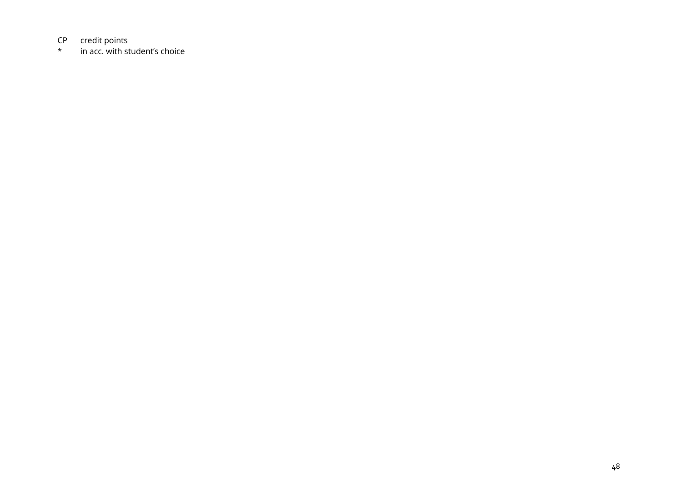# $CP$  credit points<br> $\star$  in acc. with st

in acc. with student's choice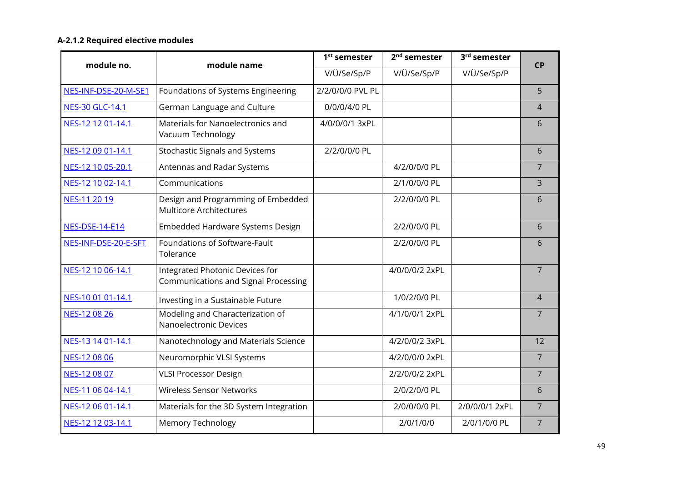#### **A-2.1.2 Required elective modules**

<span id="page-48-0"></span>

| module no.             | module name                                                             | 1 <sup>st</sup> semester | 2 <sup>nd</sup> semester | 3rd semester   | <b>CP</b>      |
|------------------------|-------------------------------------------------------------------------|--------------------------|--------------------------|----------------|----------------|
|                        |                                                                         | V/Ü/Se/Sp/P              | V/Ü/Se/Sp/P              | V/Ü/Se/Sp/P    |                |
| NES-INF-DSE-20-M-SE1   | Foundations of Systems Engineering                                      | 2/2/0/0/0 PVL PL         |                          |                | 5              |
| <b>NES-30 GLC-14.1</b> | German Language and Culture                                             | 0/0/0/4/0 PL             |                          |                | $\overline{4}$ |
| NES-12 12 01-14.1      | Materials for Nanoelectronics and<br>Vacuum Technology                  | 4/0/0/0/1 3xPL           |                          |                | 6              |
| NES-12 09 01-14.1      | <b>Stochastic Signals and Systems</b>                                   | 2/2/0/0/0 PL             |                          |                | 6              |
| NES-12 10 05-20.1      | Antennas and Radar Systems                                              |                          | 4/2/0/0/0 PL             |                | $\overline{7}$ |
| NES-12 10 02-14.1      | Communications                                                          |                          | 2/1/0/0/0 PL             |                | 3              |
| NES-11 20 19           | Design and Programming of Embedded<br><b>Multicore Architectures</b>    |                          | 2/2/0/0/0 PL             |                | 6              |
| <b>NES-DSE-14-E14</b>  | Embedded Hardware Systems Design                                        |                          | 2/2/0/0/0 PL             |                | 6              |
| NES-INF-DSE-20-E-SFT   | Foundations of Software-Fault<br>Tolerance                              |                          | 2/2/0/0/0 PL             |                | 6              |
| NES-12 10 06-14.1      | Integrated Photonic Devices for<br>Communications and Signal Processing |                          | 4/0/0/0/2 2xPL           |                | $\overline{7}$ |
| NES-10 01 01-14.1      | Investing in a Sustainable Future                                       |                          | 1/0/2/0/0 PL             |                | $\overline{4}$ |
| NES-12 08 26           | Modeling and Characterization of<br>Nanoelectronic Devices              |                          | 4/1/0/0/1 2xPL           |                | $\overline{7}$ |
| NES-13 14 01-14.1      | Nanotechnology and Materials Science                                    |                          | 4/2/0/0/2 3xPL           |                | 12             |
| NES-12 08 06           | Neuromorphic VLSI Systems                                               |                          | 4/2/0/0/0 2xPL           |                | $\overline{7}$ |
| NES-12 08 07           | <b>VLSI Processor Design</b>                                            |                          | 2/2/0/0/2 2xPL           |                | $\overline{7}$ |
| NES-11 06 04-14.1      | <b>Wireless Sensor Networks</b>                                         |                          | 2/0/2/0/0 PL             |                | 6              |
| NES-12 06 01-14.1      | Materials for the 3D System Integration                                 |                          | 2/0/0/0/0 PL             | 2/0/0/0/1 2xPL | $\overline{7}$ |
| NES-12 12 03-14.1      | <b>Memory Technology</b>                                                |                          | 2/0/1/0/0                | 2/0/1/0/0 PL   | $\overline{7}$ |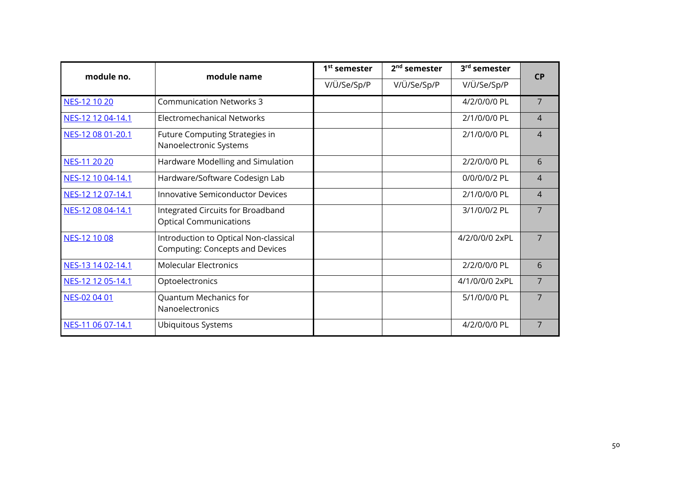| module no.        | module name                                                                     | 1 <sup>st</sup> semester | 2 <sup>nd</sup> semester | 3 <sup>rd</sup> semester | <b>CP</b>      |
|-------------------|---------------------------------------------------------------------------------|--------------------------|--------------------------|--------------------------|----------------|
|                   |                                                                                 | V/Ü/Se/Sp/P              | V/Ü/Se/Sp/P              | V/Ü/Se/Sp/P              |                |
| NES-12 10 20      | <b>Communication Networks 3</b>                                                 |                          |                          | 4/2/0/0/0 PL             | 7              |
| NES-12 12 04-14.1 | Electromechanical Networks                                                      |                          |                          | 2/1/0/0/0 PL             | 4              |
| NES-12 08 01-20.1 | Future Computing Strategies in<br>Nanoelectronic Systems                        |                          |                          | 2/1/0/0/0 PL             | 4              |
| NES-11 20 20      | Hardware Modelling and Simulation                                               |                          |                          | 2/2/0/0/0 PL             | 6              |
| NES-12 10 04-14.1 | Hardware/Software Codesign Lab                                                  |                          |                          | 0/0/0/0/2 PL             | $\overline{4}$ |
| NES-12 12 07-14.1 | <b>Innovative Semiconductor Devices</b>                                         |                          |                          | 2/1/0/0/0 PL             | $\overline{4}$ |
| NES-12 08 04-14.1 | Integrated Circuits for Broadband<br><b>Optical Communications</b>              |                          |                          | 3/1/0/0/2 PL             | $\overline{7}$ |
| NES-12 10 08      | Introduction to Optical Non-classical<br><b>Computing: Concepts and Devices</b> |                          |                          | 4/2/0/0/0 2xPL           | 7              |
| NES-13 14 02-14.1 | <b>Molecular Electronics</b>                                                    |                          |                          | 2/2/0/0/0 PL             | 6              |
| NES-12 12 05-14.1 | Optoelectronics                                                                 |                          |                          | 4/1/0/0/0 2xPL           | $\overline{7}$ |
| NES-02 04 01      | Quantum Mechanics for<br>Nanoelectronics                                        |                          |                          | 5/1/0/0/0 PL             | 7              |
| NES-11 06 07-14.1 | Ubiquitous Systems                                                              |                          |                          | 4/2/0/0/0 PL             | 7              |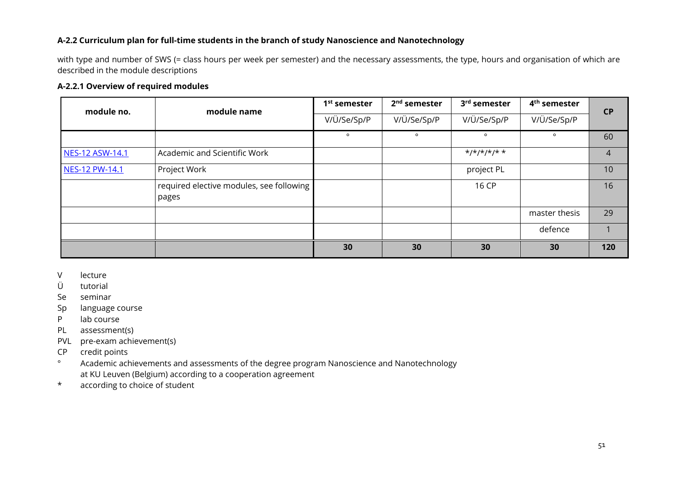#### **A-2.2 Curriculum plan for full-time students in the branch of study Nanoscience and Nanotechnology**

with type and number of SWS (= class hours per week per semester) and the necessary assessments, the type, hours and organisation of which are described in the module descriptions

#### **A-2.2.1 Overview of required modules**

| module no.             | module name                                       | 1 <sup>st</sup> semester | 2 <sup>nd</sup> semester | 3rd semester                              | 4 <sup>th</sup> semester | CP             |
|------------------------|---------------------------------------------------|--------------------------|--------------------------|-------------------------------------------|--------------------------|----------------|
|                        |                                                   | V/Ü/Se/Sp/P              | V/Ü/Se/Sp/P              | V/Ü/Se/Sp/P                               | V/Ü/Se/Sp/P              |                |
|                        |                                                   | $\circ$                  | $\circ$                  | $\circ$                                   | $\circ$                  | 60             |
| <b>NES-12 ASW-14.1</b> | Academic and Scientific Work                      |                          |                          | $\frac{x}{x} + \frac{y}{x} + \frac{z}{x}$ |                          | $\overline{4}$ |
| NES-12 PW-14.1         | Project Work                                      |                          |                          | project PL                                |                          | 10             |
|                        | required elective modules, see following<br>pages |                          |                          | 16 CP                                     |                          | 16             |
|                        |                                                   |                          |                          |                                           | master thesis            | 29             |
|                        |                                                   |                          |                          |                                           | defence                  |                |
|                        |                                                   | 30                       | 30                       | 30                                        | 30                       | 120            |

<span id="page-50-0"></span>V lecture

<span id="page-50-1"></span>Ü tutorial

Se seminar

- Sp language course
- P lab course
- PL assessment(s)
- PVL pre-exam achievement(s)
- CP credit points
- ° Academic achievements and assessments of the degree program Nanoscience and Nanotechnology at KU Leuven (Belgium) according to a cooperation agreement
- \* according to choice of student